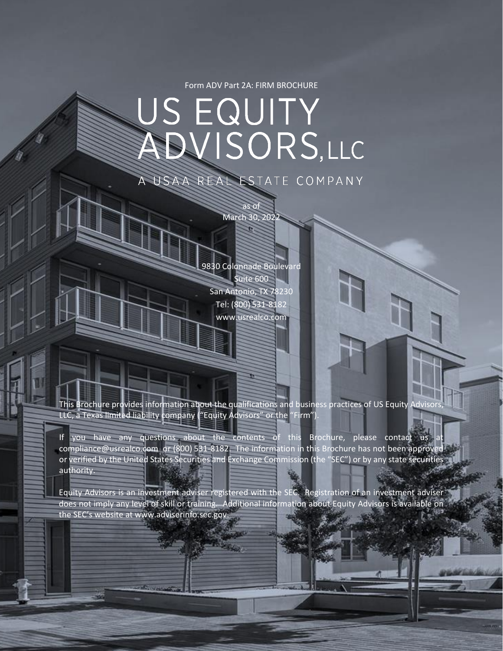Form ADV Part 2A: FIRM BROCHURE

# US EQUITY ADVISORS,LLC REAL ESTATE COMPANY

as of March 30, 2022

9830 Colonnade Boulevard Suite 600 San Antonio, TX 78230 Tel: (800) 531-8182 www.usrealco.com

This Brochure provides information about the qualifications and business practices of US Equity Advisor. LLC, a Texas limited liability company ("Equity Advisors" or the "Firm")

If you have any questions about the contents of this Brochure, please contact us compliance@usrealco.com or (800) 531-8182. The information in this Brochure has not been approved or verified by the United States Securities and Exchange Commission (the "SEC") or by any state securities authority.

Equity Advisors is an investment adviser registered with the SEC. Registration of an investment adviser does not imply any level of skill or training. Additional information about Equity Advisors is available on the SEC's website at www.adviserinfo.sec.gov.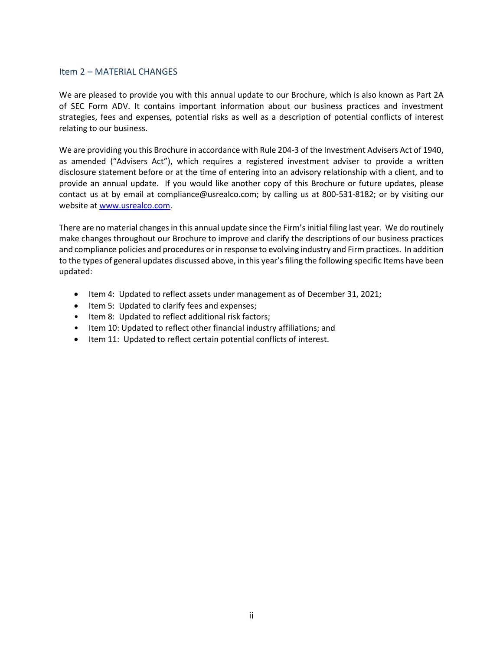# <span id="page-1-0"></span>Item 2 – MATERIAL CHANGES

We are pleased to provide you with this annual update to our Brochure, which is also known as Part 2A of SEC Form ADV. It contains important information about our business practices and investment strategies, fees and expenses, potential risks as well as a description of potential conflicts of interest relating to our business.

We are providing you this Brochure in accordance with Rule 204-3 of the Investment Advisers Act of 1940, as amended ("Advisers Act"), which requires a registered investment adviser to provide a written disclosure statement before or at the time of entering into an advisory relationship with a client, and to provide an annual update. If you would like another copy of this Brochure or future updates, please contact us at by email at compliance@usrealco.com; by calling us at 800-531-8182; or by visiting our website at [www.usrealco.com.](http://www.usrealco.com/)

There are no material changes in this annual update since the Firm's initial filing last year. We do routinely make changes throughout our Brochure to improve and clarify the descriptions of our business practices and compliance policies and procedures or in response to evolving industry and Firm practices. In addition to the types of general updates discussed above, in this year's filing the following specific Items have been updated:

- Item 4: Updated to reflect assets under management as of December 31, 2021;
- Item 5: Updated to clarify fees and expenses;
- Item 8: Updated to reflect additional risk factors;
- Item 10: Updated to reflect other financial industry affiliations; and
- Item 11: Updated to reflect certain potential conflicts of interest.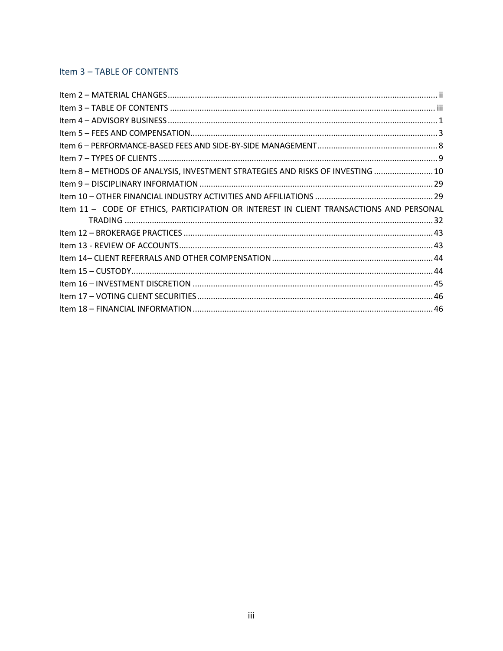# <span id="page-2-0"></span>Item 3 - TABLE OF CONTENTS

| Item 8 - METHODS OF ANALYSIS, INVESTMENT STRATEGIES AND RISKS OF INVESTING  10          |  |
|-----------------------------------------------------------------------------------------|--|
|                                                                                         |  |
|                                                                                         |  |
| Item 11 - CODE OF ETHICS, PARTICIPATION OR INTEREST IN CLIENT TRANSACTIONS AND PERSONAL |  |
|                                                                                         |  |
|                                                                                         |  |
|                                                                                         |  |
|                                                                                         |  |
|                                                                                         |  |
|                                                                                         |  |
|                                                                                         |  |
|                                                                                         |  |
|                                                                                         |  |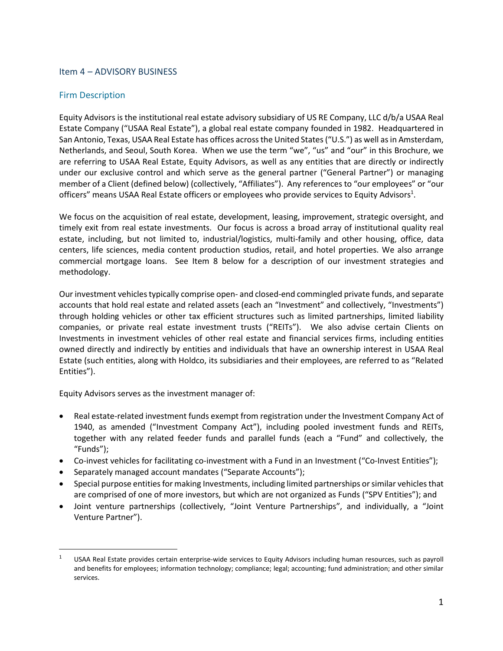# <span id="page-3-0"></span>Item 4 – ADVISORY BUSINESS

# Firm Description

Equity Advisors is the institutional real estate advisory subsidiary of US RE Company, LLC d/b/a USAA Real Estate Company ("USAA Real Estate"), a global real estate company founded in 1982. Headquartered in San Antonio, Texas, USAA Real Estate has offices acrossthe United States("U.S.") as well as in Amsterdam, Netherlands, and Seoul, South Korea. When we use the term "we", "us" and "our" in this Brochure, we are referring to USAA Real Estate, Equity Advisors, as well as any entities that are directly or indirectly under our exclusive control and which serve as the general partner ("General Partner") or managing member of a Client (defined below) (collectively, "Affiliates"). Any references to "our employees" or "our officers" means USAA Real Estate officers or employees who provide services to Equity Advisors<sup>1</sup>.

We focus on the acquisition of real estate, development, leasing, improvement, strategic oversight, and timely exit from real estate investments. Our focus is across a broad array of institutional quality real estate, including, but not limited to, industrial/logistics, multi-family and other housing, office, data centers, life sciences, media content production studios, retail, and hotel properties. We also arrange commercial mortgage loans. See Item 8 below for a description of our investment strategies and methodology.

Our investment vehiclestypically comprise open- and closed-end commingled private funds, and separate accounts that hold real estate and related assets (each an "Investment" and collectively, "Investments") through holding vehicles or other tax efficient structures such as limited partnerships, limited liability companies, or private real estate investment trusts ("REITs"). We also advise certain Clients on Investments in investment vehicles of other real estate and financial services firms, including entities owned directly and indirectly by entities and individuals that have an ownership interest in USAA Real Estate (such entities, along with Holdco, its subsidiaries and their employees, are referred to as "Related Entities").

Equity Advisors serves as the investment manager of:

- Real estate-related investment funds exempt from registration under the Investment Company Act of 1940, as amended ("Investment Company Act"), including pooled investment funds and REITs, together with any related feeder funds and parallel funds (each a "Fund" and collectively, the "Funds");
- Co-invest vehicles for facilitating co-investment with a Fund in an Investment ("Co-Invest Entities");
- Separately managed account mandates ("Separate Accounts");
- Special purpose entities for making Investments, including limited partnerships or similar vehicles that are comprised of one of more investors, but which are not organized as Funds ("SPV Entities"); and
- Joint venture partnerships (collectively, "Joint Venture Partnerships", and individually, a "Joint Venture Partner").

 $1 -$  USAA Real Estate provides certain enterprise-wide services to Equity Advisors including human resources, such as payroll and benefits for employees; information technology; compliance; legal; accounting; fund administration; and other similar services.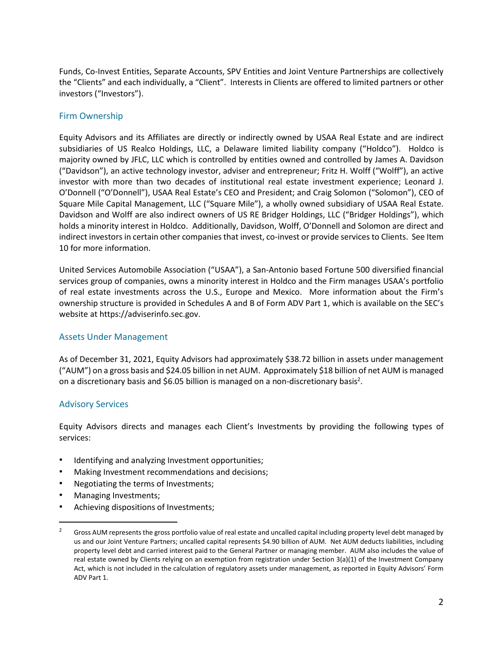Funds, Co-Invest Entities, Separate Accounts, SPV Entities and Joint Venture Partnerships are collectively the "Clients" and each individually, a "Client". Interests in Clients are offered to limited partners or other investors ("Investors").

# Firm Ownership

Equity Advisors and its Affiliates are directly or indirectly owned by USAA Real Estate and are indirect subsidiaries of US Realco Holdings, LLC, a Delaware limited liability company ("Holdco"). Holdco is majority owned by JFLC, LLC which is controlled by entities owned and controlled by James A. Davidson ("Davidson"), an active technology investor, adviser and entrepreneur; Fritz H. Wolff ("Wolff"), an active investor with more than two decades of institutional real estate investment experience; Leonard J. O'Donnell ("O'Donnell"), USAA Real Estate's CEO and President; and Craig Solomon ("Solomon"), CEO of Square Mile Capital Management, LLC ("Square Mile"), a wholly owned subsidiary of USAA Real Estate. Davidson and Wolff are also indirect owners of US RE Bridger Holdings, LLC ("Bridger Holdings"), which holds a minority interest in Holdco. Additionally, Davidson, Wolff, O'Donnell and Solomon are direct and indirect investors in certain other companies that invest, co-invest or provide services to Clients. See Item 10 for more information.

United Services Automobile Association ("USAA"), a San-Antonio based Fortune 500 diversified financial services group of companies, owns a minority interest in Holdco and the Firm manages USAA's portfolio of real estate investments across the U.S., Europe and Mexico. More information about the Firm's ownership structure is provided in Schedules A and B of Form ADV Part 1, which is available on the SEC's website at https://adviserinfo.sec.gov.

## Assets Under Management

As of December 31, 2021, Equity Advisors had approximately \$38.72 billion in assets under management ("AUM") on a gross basis and \$24.05 billion in net AUM. Approximately \$18 billion of net AUM is managed on a discretionary basis and \$6.05 billion is managed on a non-discretionary basis<sup>2</sup>.

# Advisory Services

Equity Advisors directs and manages each Client's Investments by providing the following types of services:

- Identifying and analyzing Investment opportunities;
- Making Investment recommendations and decisions;
- Negotiating the terms of Investments;
- Managing Investments;
- Achieving dispositions of Investments;

<sup>&</sup>lt;sup>2</sup> Gross AUM represents the gross portfolio value of real estate and uncalled capital including property level debt managed by us and our Joint Venture Partners; uncalled capital represents \$4.90 billion of AUM. Net AUM deducts liabilities, including property level debt and carried interest paid to the General Partner or managing member. AUM also includes the value of real estate owned by Clients relying on an exemption from registration under Section 3(a)(1) of the Investment Company Act, which is not included in the calculation of regulatory assets under management, as reported in Equity Advisors' Form ADV Part 1.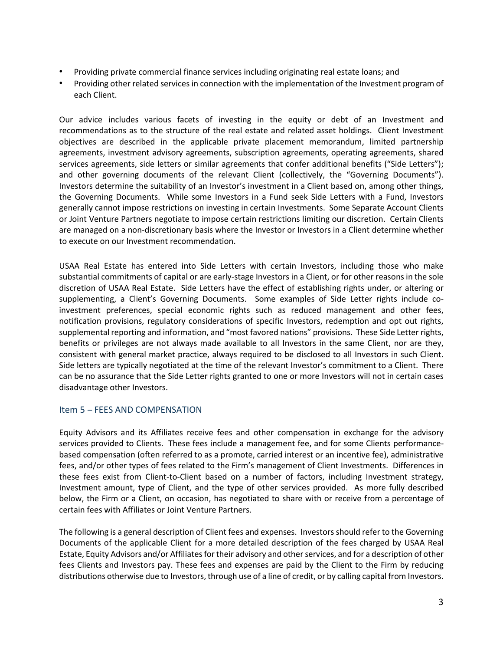- Providing private commercial finance services including originating real estate loans; and
- Providing other related services in connection with the implementation of the Investment program of each Client.

Our advice includes various facets of investing in the equity or debt of an Investment and recommendations as to the structure of the real estate and related asset holdings. Client Investment objectives are described in the applicable private placement memorandum, limited partnership agreements, investment advisory agreements, subscription agreements, operating agreements, shared services agreements, side letters or similar agreements that confer additional benefits ("Side Letters"); and other governing documents of the relevant Client (collectively, the "Governing Documents"). Investors determine the suitability of an Investor's investment in a Client based on, among other things, the Governing Documents. While some Investors in a Fund seek Side Letters with a Fund, Investors generally cannot impose restrictions on investing in certain Investments. Some Separate Account Clients or Joint Venture Partners negotiate to impose certain restrictions limiting our discretion. Certain Clients are managed on a non-discretionary basis where the Investor or Investors in a Client determine whether to execute on our Investment recommendation.

USAA Real Estate has entered into Side Letters with certain Investors, including those who make substantial commitments of capital or are early-stage Investors in a Client, or for other reasons in the sole discretion of USAA Real Estate. Side Letters have the effect of establishing rights under, or altering or supplementing, a Client's Governing Documents. Some examples of Side Letter rights include coinvestment preferences, special economic rights such as reduced management and other fees, notification provisions, regulatory considerations of specific Investors, redemption and opt out rights, supplemental reporting and information, and "most favored nations" provisions. These Side Letter rights, benefits or privileges are not always made available to all Investors in the same Client, nor are they, consistent with general market practice, always required to be disclosed to all Investors in such Client. Side letters are typically negotiated at the time of the relevant Investor's commitment to a Client. There can be no assurance that the Side Letter rights granted to one or more Investors will not in certain cases disadvantage other Investors.

## <span id="page-5-0"></span>Item 5 – FEES AND COMPENSATION

Equity Advisors and its Affiliates receive fees and other compensation in exchange for the advisory services provided to Clients. These fees include a management fee, and for some Clients performancebased compensation (often referred to as a promote, carried interest or an incentive fee), administrative fees, and/or other types of fees related to the Firm's management of Client Investments. Differences in these fees exist from Client-to-Client based on a number of factors, including Investment strategy, Investment amount, type of Client, and the type of other services provided. As more fully described below, the Firm or a Client, on occasion, has negotiated to share with or receive from a percentage of certain fees with Affiliates or Joint Venture Partners.

The following is a general description of Client fees and expenses. Investors should refer to the Governing Documents of the applicable Client for a more detailed description of the fees charged by USAA Real Estate, Equity Advisors and/or Affiliates for their advisory and other services, and for a description of other fees Clients and Investors pay. These fees and expenses are paid by the Client to the Firm by reducing distributions otherwise due to Investors, through use of a line of credit, or by calling capital from Investors.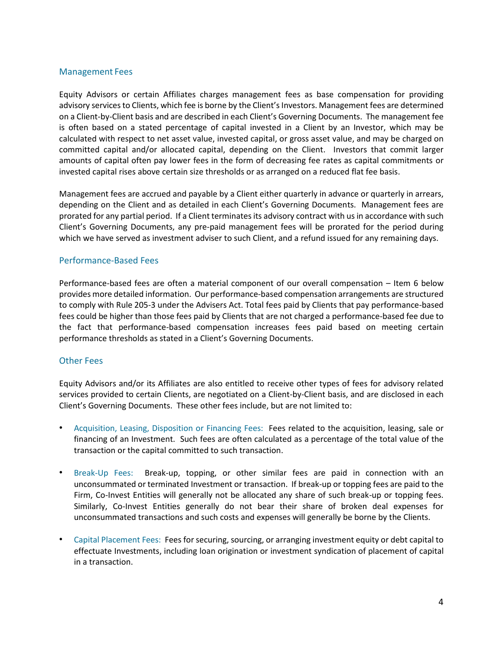# Management Fees

Equity Advisors or certain Affiliates charges management fees as base compensation for providing advisory services to Clients, which fee is borne by the Client's Investors. Management fees are determined on a Client-by-Client basis and are described in each Client's Governing Documents. The management fee is often based on a stated percentage of capital invested in a Client by an Investor, which may be calculated with respect to net asset value, invested capital, or gross asset value, and may be charged on committed capital and/or allocated capital, depending on the Client. Investors that commit larger amounts of capital often pay lower fees in the form of decreasing fee rates as capital commitments or invested capital rises above certain size thresholds or as arranged on a reduced flat fee basis.

Management fees are accrued and payable by a Client either quarterly in advance or quarterly in arrears, depending on the Client and as detailed in each Client's Governing Documents. Management fees are prorated for any partial period. If a Client terminates its advisory contract with us in accordance with such Client's Governing Documents, any pre-paid management fees will be prorated for the period during which we have served as investment adviser to such Client, and a refund issued for any remaining days.

## Performance-Based Fees

Performance-based fees are often a material component of our overall compensation – Item 6 below provides more detailed information. Our performance-based compensation arrangements are structured to comply with Rule 205-3 under the Advisers Act. Total fees paid by Clients that pay performance-based fees could be higher than those fees paid by Clients that are not charged a performance-based fee due to the fact that performance-based compensation increases fees paid based on meeting certain performance thresholds as stated in a Client's Governing Documents.

# Other Fees

Equity Advisors and/or its Affiliates are also entitled to receive other types of fees for advisory related services provided to certain Clients, are negotiated on a Client-by-Client basis, and are disclosed in each Client's Governing Documents. These other fees include, but are not limited to:

- Acquisition, Leasing, Disposition or Financing Fees: Fees related to the acquisition, leasing, sale or financing of an Investment. Such fees are often calculated as a percentage of the total value of the transaction or the capital committed to such transaction.
- Break-Up Fees: Break-up, topping, or other similar fees are paid in connection with an unconsummated or terminated Investment or transaction. If break-up or topping fees are paid to the Firm, Co-Invest Entities will generally not be allocated any share of such break-up or topping fees. Similarly, Co-Invest Entities generally do not bear their share of broken deal expenses for unconsummated transactions and such costs and expenses will generally be borne by the Clients.
- Capital Placement Fees: Fees for securing, sourcing, or arranging investment equity or debt capital to effectuate Investments, including loan origination or investment syndication of placement of capital in a transaction.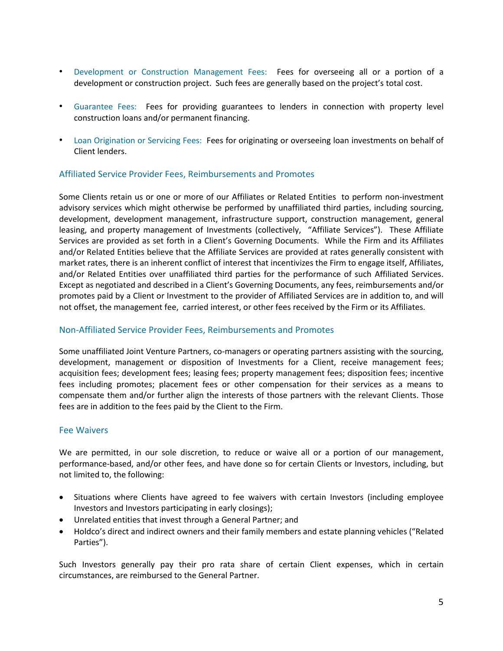- Development or Construction Management Fees: Fees for overseeing all or a portion of a development or construction project. Such fees are generally based on the project's total cost.
- Guarantee Fees: Fees for providing guarantees to lenders in connection with property level construction loans and/or permanent financing.
- Loan Origination or Servicing Fees: Fees for originating or overseeing loan investments on behalf of Client lenders.

# Affiliated Service Provider Fees, Reimbursements and Promotes

Some Clients retain us or one or more of our Affiliates or Related Entities to perform non-investment advisory services which might otherwise be performed by unaffiliated third parties, including sourcing, development, development management, infrastructure support, construction management, general leasing, and property management of Investments (collectively, "Affiliate Services"). These Affiliate Services are provided as set forth in a Client's Governing Documents. While the Firm and its Affiliates and/or Related Entities believe that the Affiliate Services are provided at rates generally consistent with market rates, there is an inherent conflict of interest that incentivizes the Firm to engage itself, Affiliates, and/or Related Entities over unaffiliated third parties for the performance of such Affiliated Services. Except as negotiated and described in a Client's Governing Documents, any fees, reimbursements and/or promotes paid by a Client or Investment to the provider of Affiliated Services are in addition to, and will not offset, the management fee, carried interest, or other fees received by the Firm or its Affiliates.

# Non-Affiliated Service Provider Fees, Reimbursements and Promotes

Some unaffiliated Joint Venture Partners, co-managers or operating partners assisting with the sourcing, development, management or disposition of Investments for a Client, receive management fees; acquisition fees; development fees; leasing fees; property management fees; disposition fees; incentive fees including promotes; placement fees or other compensation for their services as a means to compensate them and/or further align the interests of those partners with the relevant Clients. Those fees are in addition to the fees paid by the Client to the Firm.

# Fee Waivers

We are permitted, in our sole discretion, to reduce or waive all or a portion of our management, performance-based, and/or other fees, and have done so for certain Clients or Investors, including, but not limited to, the following:

- Situations where Clients have agreed to fee waivers with certain Investors (including employee Investors and Investors participating in early closings);
- Unrelated entities that invest through a General Partner; and
- Holdco's direct and indirect owners and their family members and estate planning vehicles ("Related Parties").

Such Investors generally pay their pro rata share of certain Client expenses, which in certain circumstances, are reimbursed to the General Partner.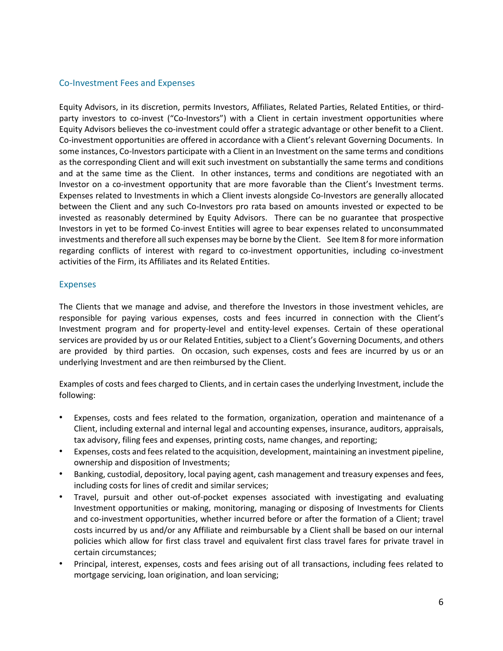# Co-Investment Fees and Expenses

Equity Advisors, in its discretion, permits Investors, Affiliates, Related Parties, Related Entities, or thirdparty investors to co-invest ("Co-Investors") with a Client in certain investment opportunities where Equity Advisors believes the co-investment could offer a strategic advantage or other benefit to a Client. Co-investment opportunities are offered in accordance with a Client's relevant Governing Documents. In some instances, Co-Investors participate with a Client in an Investment on the same terms and conditions as the corresponding Client and will exit such investment on substantially the same terms and conditions and at the same time as the Client. In other instances, terms and conditions are negotiated with an Investor on a co-investment opportunity that are more favorable than the Client's Investment terms. Expenses related to Investments in which a Client invests alongside Co-Investors are generally allocated between the Client and any such Co-Investors pro rata based on amounts invested or expected to be invested as reasonably determined by Equity Advisors. There can be no guarantee that prospective Investors in yet to be formed Co-invest Entities will agree to bear expenses related to unconsummated investments and therefore all such expenses may be borne by the Client. See Item 8 for more information regarding conflicts of interest with regard to co-investment opportunities, including co-investment activities of the Firm, its Affiliates and its Related Entities.

## Expenses

The Clients that we manage and advise, and therefore the Investors in those investment vehicles, are responsible for paying various expenses, costs and fees incurred in connection with the Client's Investment program and for property-level and entity-level expenses. Certain of these operational services are provided by us or our Related Entities, subject to a Client's Governing Documents, and others are provided by third parties. On occasion, such expenses, costs and fees are incurred by us or an underlying Investment and are then reimbursed by the Client.

Examples of costs and fees charged to Clients, and in certain cases the underlying Investment, include the following:

- Expenses, costs and fees related to the formation, organization, operation and maintenance of a Client, including external and internal legal and accounting expenses, insurance, auditors, appraisals, tax advisory, filing fees and expenses, printing costs, name changes, and reporting;
- Expenses, costs and fees related to the acquisition, development, maintaining an investment pipeline, ownership and disposition of Investments;
- Banking, custodial, depository, local paying agent, cash management and treasury expenses and fees, including costs for lines of credit and similar services;
- Travel, pursuit and other out-of-pocket expenses associated with investigating and evaluating Investment opportunities or making, monitoring, managing or disposing of Investments for Clients and co-investment opportunities, whether incurred before or after the formation of a Client; travel costs incurred by us and/or any Affiliate and reimbursable by a Client shall be based on our internal policies which allow for first class travel and equivalent first class travel fares for private travel in certain circumstances;
- Principal, interest, expenses, costs and fees arising out of all transactions, including fees related to mortgage servicing, loan origination, and loan servicing;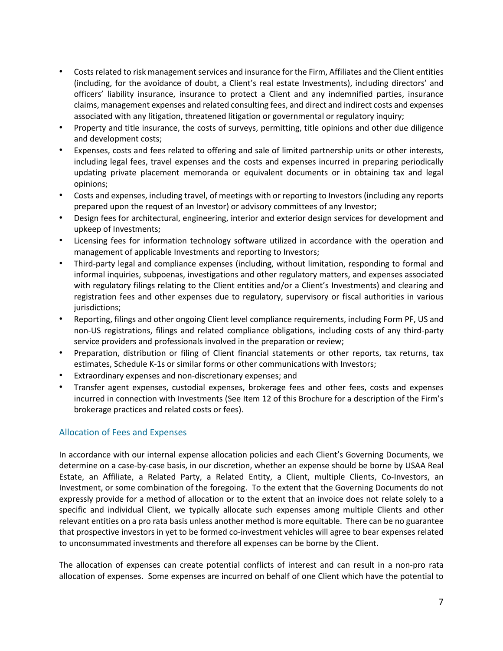- Costs related to risk management services and insurance for the Firm, Affiliates and the Client entities (including, for the avoidance of doubt, a Client's real estate Investments), including directors' and officers' liability insurance, insurance to protect a Client and any indemnified parties, insurance claims, management expenses and related consulting fees, and direct and indirect costs and expenses associated with any litigation, threatened litigation or governmental or regulatory inquiry;
- Property and title insurance, the costs of surveys, permitting, title opinions and other due diligence and development costs;
- Expenses, costs and fees related to offering and sale of limited partnership units or other interests, including legal fees, travel expenses and the costs and expenses incurred in preparing periodically updating private placement memoranda or equivalent documents or in obtaining tax and legal opinions;
- Costs and expenses, including travel, of meetings with or reporting to Investors (including any reports prepared upon the request of an Investor) or advisory committees of any Investor;
- Design fees for architectural, engineering, interior and exterior design services for development and upkeep of Investments;
- Licensing fees for information technology software utilized in accordance with the operation and management of applicable Investments and reporting to Investors;
- Third-party legal and compliance expenses (including, without limitation, responding to formal and informal inquiries, subpoenas, investigations and other regulatory matters, and expenses associated with regulatory filings relating to the Client entities and/or a Client's Investments) and clearing and registration fees and other expenses due to regulatory, supervisory or fiscal authorities in various jurisdictions;
- Reporting, filings and other ongoing Client level compliance requirements, including Form PF, US and non-US registrations, filings and related compliance obligations, including costs of any third-party service providers and professionals involved in the preparation or review;
- Preparation, distribution or filing of Client financial statements or other reports, tax returns, tax estimates, Schedule K-1s or similar forms or other communications with Investors;
- Extraordinary expenses and non-discretionary expenses; and
- Transfer agent expenses, custodial expenses, brokerage fees and other fees, costs and expenses incurred in connection with Investments (See Item 12 of this Brochure for a description of the Firm's brokerage practices and related costs or fees).

# Allocation of Fees and Expenses

In accordance with our internal expense allocation policies and each Client's Governing Documents, we determine on a case-by-case basis, in our discretion, whether an expense should be borne by USAA Real Estate, an Affiliate, a Related Party, a Related Entity, a Client, multiple Clients, Co-Investors, an Investment, or some combination of the foregoing. To the extent that the Governing Documents do not expressly provide for a method of allocation or to the extent that an invoice does not relate solely to a specific and individual Client, we typically allocate such expenses among multiple Clients and other relevant entities on a pro rata basis unless another method is more equitable. There can be no guarantee that prospective investors in yet to be formed co-investment vehicles will agree to bear expenses related to unconsummated investments and therefore all expenses can be borne by the Client.

The allocation of expenses can create potential conflicts of interest and can result in a non-pro rata allocation of expenses. Some expenses are incurred on behalf of one Client which have the potential to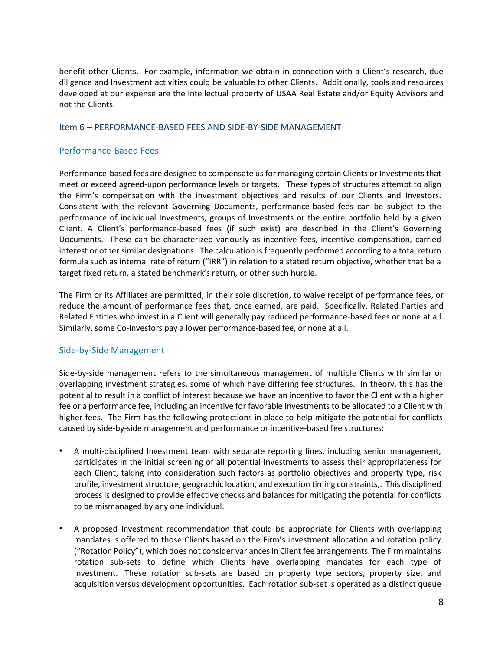benefit other Clients. For example, information we obtain in connection with a Client's research, due diligence and Investment activities could be valuable to other Clients. Additionally, tools and resources developed at our expense are the intellectual property of USAA Real Estate and/or Equity Advisors and not the Clients.

## <span id="page-10-0"></span>Item 6 – PERFORMANCE-BASED FEES AND SIDE-BY-SIDE MANAGEMENT

## Performance-Based Fees

Performance-based fees are designed to compensate us for managing certain Clients or Investments that meet or exceed agreed-upon performance levels or targets. These types of structures attempt to align the Firm's compensation with the investment objectives and results of our Clients and Investors. Consistent with the relevant Governing Documents, performance-based fees can be subject to the performance of individual Investments, groups of Investments or the entire portfolio held by a given Client. A Client's performance-based fees (if such exist) are described in the Client's Governing Documents. These can be characterized variously as incentive fees, incentive compensation, carried interest or other similar designations. The calculation is frequently performed according to a total return formula such as internal rate of return ("IRR") in relation to a stated return objective, whether that be a target fixed return, a stated benchmark's return, or other such hurdle.

The Firm or its Affiliates are permitted, in their sole discretion, to waive receipt of performance fees, or reduce the amount of performance fees that, once earned, are paid. Specifically, Related Parties and Related Entities who invest in a Client will generally pay reduced performance-based fees or none at all. Similarly, some Co-Investors pay a lower performance-based fee, or none at all.

## Side-by-Side Management

Side-by-side management refers to the simultaneous management of multiple Clients with similar or overlapping investment strategies, some of which have differing fee structures. In theory, this has the potential to result in a conflict of interest because we have an incentive to favor the Client with a higher fee or a performance fee, including an incentive for favorable Investments to be allocated to a Client with higher fees. The Firm has the following protections in place to help mitigate the potential for conflicts caused by side-by-side management and performance or incentive-based fee structures:

- A multi-disciplined Investment team with separate reporting lines, including senior management, participates in the initial screening of all potential Investments to assess their appropriateness for each Client, taking into consideration such factors as portfolio objectives and property type, risk profile, investment structure, geographic location, and execution timing constraints,. This disciplined process is designed to provide effective checks and balances for mitigating the potential for conflicts to be mismanaged by any one individual.
- A proposed Investment recommendation that could be appropriate for Clients with overlapping mandates is offered to those Clients based on the Firm's investment allocation and rotation policy ("Rotation Policy"), which does not consider variances in Client fee arrangements. The Firm maintains rotation sub-sets to define which Clients have overlapping mandates for each type of Investment. These rotation sub-sets are based on property type sectors, property size, and acquisition versus development opportunities. Each rotation sub-set is operated as a distinct queue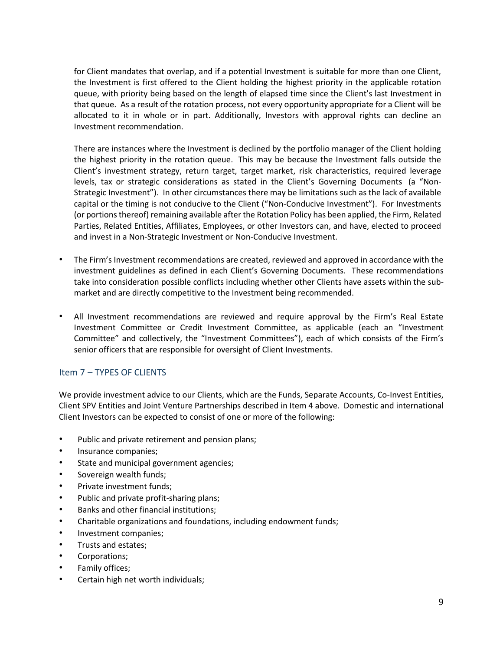for Client mandates that overlap, and if a potential Investment is suitable for more than one Client, the Investment is first offered to the Client holding the highest priority in the applicable rotation queue, with priority being based on the length of elapsed time since the Client's last Investment in that queue. As a result of the rotation process, not every opportunity appropriate for a Client will be allocated to it in whole or in part. Additionally, Investors with approval rights can decline an Investment recommendation.

There are instances where the Investment is declined by the portfolio manager of the Client holding the highest priority in the rotation queue. This may be because the Investment falls outside the Client's investment strategy, return target, target market, risk characteristics, required leverage levels, tax or strategic considerations as stated in the Client's Governing Documents (a "Non-Strategic Investment"). In other circumstances there may be limitations such as the lack of available capital or the timing is not conducive to the Client ("Non-Conducive Investment"). For Investments (or portions thereof) remaining available after the Rotation Policy has been applied, the Firm, Related Parties, Related Entities, Affiliates, Employees, or other Investors can, and have, elected to proceed and invest in a Non-Strategic Investment or Non-Conducive Investment.

- The Firm's Investment recommendations are created, reviewed and approved in accordance with the investment guidelines as defined in each Client's Governing Documents. These recommendations take into consideration possible conflicts including whether other Clients have assets within the submarket and are directly competitive to the Investment being recommended.
- All Investment recommendations are reviewed and require approval by the Firm's Real Estate Investment Committee or Credit Investment Committee, as applicable (each an "Investment Committee" and collectively, the "Investment Committees"), each of which consists of the Firm's senior officers that are responsible for oversight of Client Investments.

# <span id="page-11-0"></span>Item 7 – TYPES OF CLIENTS

We provide investment advice to our Clients, which are the Funds, Separate Accounts, Co-Invest Entities, Client SPV Entities and Joint Venture Partnerships described in Item 4 above. Domestic and international Client Investors can be expected to consist of one or more of the following:

- Public and private retirement and pension plans;
- Insurance companies;
- State and municipal government agencies;
- Sovereign wealth funds;
- Private investment funds;
- Public and private profit-sharing plans;
- Banks and other financial institutions;
- Charitable organizations and foundations, including endowment funds;
- Investment companies;
- Trusts and estates;
- Corporations;
- Family offices;
- Certain high net worth individuals;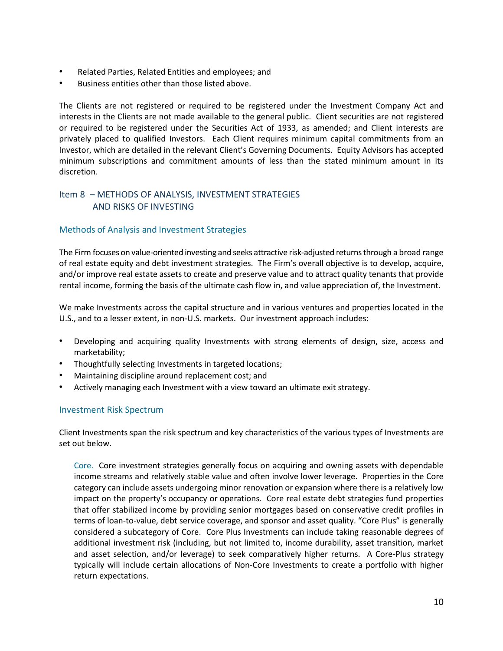- Related Parties, Related Entities and employees; and
- Business entities other than those listed above.

The Clients are not registered or required to be registered under the Investment Company Act and interests in the Clients are not made available to the general public. Client securities are not registered or required to be registered under the Securities Act of 1933, as amended; and Client interests are privately placed to qualified Investors. Each Client requires minimum capital commitments from an Investor, which are detailed in the relevant Client's Governing Documents. Equity Advisors has accepted minimum subscriptions and commitment amounts of less than the stated minimum amount in its discretion.

# <span id="page-12-0"></span>Item 8 – METHODS OF ANALYSIS, INVESTMENT STRATEGIES AND RISKS OF INVESTING

# Methods of Analysis and Investment Strategies

The Firm focuses on value-oriented investing and seeks attractive risk-adjusted returns through a broad range of real estate equity and debt investment strategies. The Firm's overall objective is to develop, acquire, and/or improve real estate assets to create and preserve value and to attract quality tenants that provide rental income, forming the basis of the ultimate cash flow in, and value appreciation of, the Investment.

We make Investments across the capital structure and in various ventures and properties located in the U.S., and to a lesser extent, in non-U.S. markets. Our investment approach includes:

- Developing and acquiring quality Investments with strong elements of design, size, access and marketability;
- Thoughtfully selecting Investments in targeted locations;
- Maintaining discipline around replacement cost; and
- Actively managing each Investment with a view toward an ultimate exit strategy.

## Investment Risk Spectrum

Client Investments span the risk spectrum and key characteristics of the various types of Investments are set out below.

Core. Core investment strategies generally focus on acquiring and owning assets with dependable income streams and relatively stable value and often involve lower leverage. Properties in the Core category can include assets undergoing minor renovation or expansion where there is a relatively low impact on the property's occupancy or operations. Core real estate debt strategies fund properties that offer stabilized income by providing senior mortgages based on conservative credit profiles in terms of loan-to-value, debt service coverage, and sponsor and asset quality. "Core Plus" is generally considered a subcategory of Core. Core Plus Investments can include taking reasonable degrees of additional investment risk (including, but not limited to, income durability, asset transition, market and asset selection, and/or leverage) to seek comparatively higher returns. A Core-Plus strategy typically will include certain allocations of Non-Core Investments to create a portfolio with higher return expectations.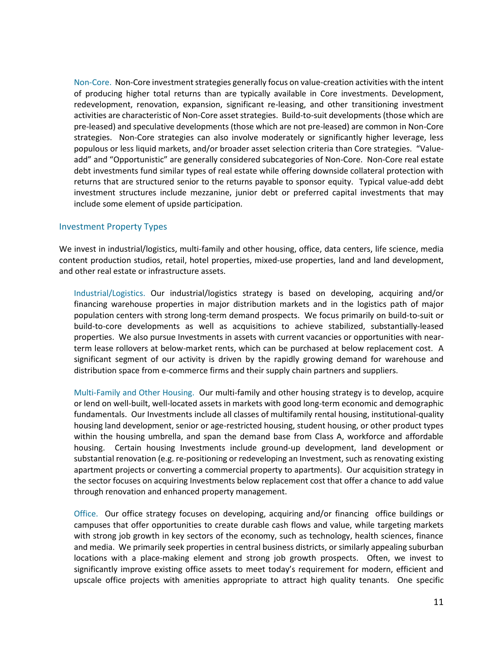Non-Core. Non-Core investment strategies generally focus on value-creation activities with the intent of producing higher total returns than are typically available in Core investments. Development, redevelopment, renovation, expansion, significant re-leasing, and other transitioning investment activities are characteristic of Non-Core asset strategies. Build-to-suit developments (those which are pre-leased) and speculative developments (those which are not pre-leased) are common in Non-Core strategies. Non-Core strategies can also involve moderately or significantly higher leverage, less populous or less liquid markets, and/or broader asset selection criteria than Core strategies. "Valueadd" and "Opportunistic" are generally considered subcategories of Non-Core. Non-Core real estate debt investments fund similar types of real estate while offering downside collateral protection with returns that are structured senior to the returns payable to sponsor equity. Typical value-add debt investment structures include mezzanine, junior debt or preferred capital investments that may include some element of upside participation.

## Investment Property Types

We invest in industrial/logistics, multi-family and other housing, office, data centers, life science, media content production studios, retail, hotel properties, mixed-use properties, land and land development, and other real estate or infrastructure assets.

Industrial/Logistics. Our industrial/logistics strategy is based on developing, acquiring and/or financing warehouse properties in major distribution markets and in the logistics path of major population centers with strong long-term demand prospects. We focus primarily on build-to-suit or build-to-core developments as well as acquisitions to achieve stabilized, substantially-leased properties. We also pursue Investments in assets with current vacancies or opportunities with nearterm lease rollovers at below-market rents, which can be purchased at below replacement cost. A significant segment of our activity is driven by the rapidly growing demand for warehouse and distribution space from e-commerce firms and their supply chain partners and suppliers.

Multi-Family and Other Housing. Our multi-family and other housing strategy is to develop, acquire or lend on well-built, well-located assets in markets with good long-term economic and demographic fundamentals. Our Investments include all classes of multifamily rental housing, institutional-quality housing land development, senior or age-restricted housing, student housing, or other product types within the housing umbrella, and span the demand base from Class A, workforce and affordable housing. Certain housing Investments include ground-up development, land development or substantial renovation (e.g. re-positioning or redeveloping an Investment, such as renovating existing apartment projects or converting a commercial property to apartments). Our acquisition strategy in the sector focuses on acquiring Investments below replacement cost that offer a chance to add value through renovation and enhanced property management.

Office. Our office strategy focuses on developing, acquiring and/or financing office buildings or campuses that offer opportunities to create durable cash flows and value, while targeting markets with strong job growth in key sectors of the economy, such as technology, health sciences, finance and media. We primarily seek properties in central business districts, or similarly appealing suburban locations with a place-making element and strong job growth prospects. Often, we invest to significantly improve existing office assets to meet today's requirement for modern, efficient and upscale office projects with amenities appropriate to attract high quality tenants. One specific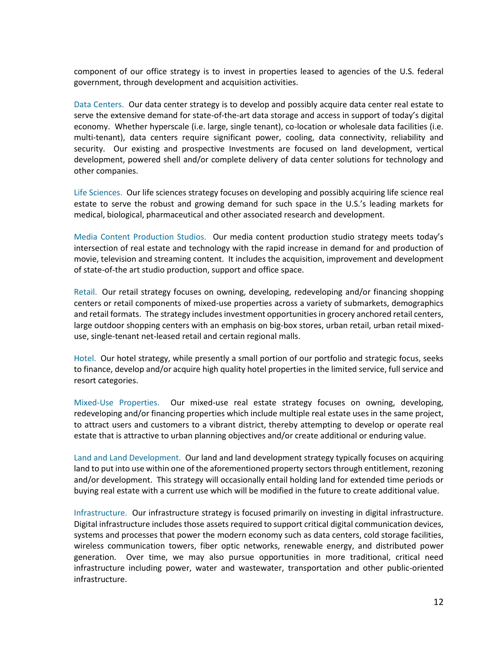component of our office strategy is to invest in properties leased to agencies of the U.S. federal government, through development and acquisition activities.

Data Centers. Our data center strategy is to develop and possibly acquire data center real estate to serve the extensive demand for state-of-the-art data storage and access in support of today's digital economy. Whether hyperscale (i.e. large, single tenant), co-location or wholesale data facilities (i.e. multi-tenant), data centers require significant power, cooling, data connectivity, reliability and security. Our existing and prospective Investments are focused on land development, vertical development, powered shell and/or complete delivery of data center solutions for technology and other companies.

Life Sciences. Our life sciences strategy focuses on developing and possibly acquiring life science real estate to serve the robust and growing demand for such space in the U.S.'s leading markets for medical, biological, pharmaceutical and other associated research and development.

Media Content Production Studios. Our media content production studio strategy meets today's intersection of real estate and technology with the rapid increase in demand for and production of movie, television and streaming content. It includes the acquisition, improvement and development of state-of-the art studio production, support and office space.

Retail. Our retail strategy focuses on owning, developing, redeveloping and/or financing shopping centers or retail components of mixed-use properties across a variety of submarkets, demographics and retail formats. The strategy includes investment opportunities in grocery anchored retail centers, large outdoor shopping centers with an emphasis on big-box stores, urban retail, urban retail mixeduse, single-tenant net-leased retail and certain regional malls.

Hotel. Our hotel strategy, while presently a small portion of our portfolio and strategic focus, seeks to finance, develop and/or acquire high quality hotel properties in the limited service, full service and resort categories.

Mixed-Use Properties. Our mixed-use real estate strategy focuses on owning, developing, redeveloping and/or financing properties which include multiple real estate uses in the same project, to attract users and customers to a vibrant district, thereby attempting to develop or operate real estate that is attractive to urban planning objectives and/or create additional or enduring value.

Land and Land Development. Our land and land development strategy typically focuses on acquiring land to put into use within one of the aforementioned property sectors through entitlement, rezoning and/or development. This strategy will occasionally entail holding land for extended time periods or buying real estate with a current use which will be modified in the future to create additional value.

Infrastructure. Our infrastructure strategy is focused primarily on investing in digital infrastructure. Digital infrastructure includes those assets required to support critical digital communication devices, systems and processes that power the modern economy such as data centers, cold storage facilities, wireless communication towers, fiber optic networks, renewable energy, and distributed power generation. Over time, we may also pursue opportunities in more traditional, critical need infrastructure including power, water and wastewater, transportation and other public-oriented infrastructure.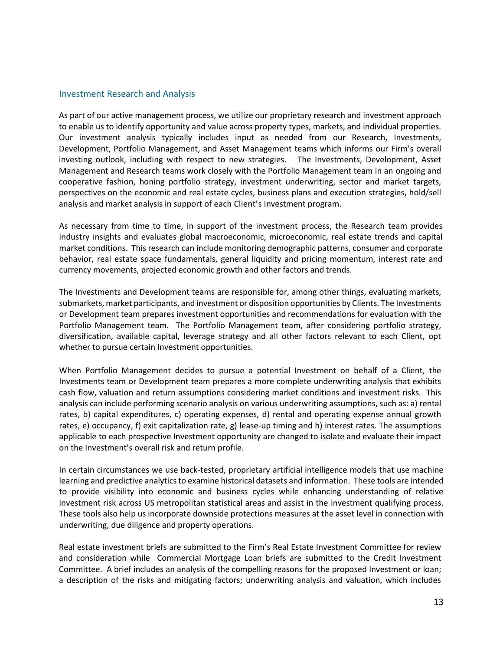## Investment Research and Analysis

As part of our active management process, we utilize our proprietary research and investment approach to enable us to identify opportunity and value across property types, markets, and individual properties. Our investment analysis typically includes input as needed from our Research, Investments, Development, Portfolio Management, and Asset Management teams which informs our Firm's overall investing outlook, including with respect to new strategies. The Investments, Development, Asset Management and Research teams work closely with the Portfolio Management team in an ongoing and cooperative fashion, honing portfolio strategy, investment underwriting, sector and market targets, perspectives on the economic and real estate cycles, business plans and execution strategies, hold/sell analysis and market analysis in support of each Client's Investment program.

As necessary from time to time, in support of the investment process, the Research team provides industry insights and evaluates global macroeconomic, microeconomic, real estate trends and capital market conditions. This research can include monitoring demographic patterns, consumer and corporate behavior, real estate space fundamentals, general liquidity and pricing momentum, interest rate and currency movements, projected economic growth and other factors and trends.

The Investments and Development teams are responsible for, among other things, evaluating markets, submarkets, market participants, and investment or disposition opportunities by Clients. The Investments or Development team prepares investment opportunities and recommendations for evaluation with the Portfolio Management team. The Portfolio Management team, after considering portfolio strategy, diversification, available capital, leverage strategy and all other factors relevant to each Client, opt whether to pursue certain Investment opportunities.

When Portfolio Management decides to pursue a potential Investment on behalf of a Client, the Investments team or Development team prepares a more complete underwriting analysis that exhibits cash flow, valuation and return assumptions considering market conditions and investment risks. This analysis can include performing scenario analysis on various underwriting assumptions, such as: a) rental rates, b) capital expenditures, c) operating expenses, d) rental and operating expense annual growth rates, e) occupancy, f) exit capitalization rate, g) lease-up timing and h) interest rates. The assumptions applicable to each prospective Investment opportunity are changed to isolate and evaluate their impact on the Investment's overall risk and return profile.

In certain circumstances we use back-tested, proprietary artificial intelligence models that use machine learning and predictive analytics to examine historical datasets and information. These tools are intended to provide visibility into economic and business cycles while enhancing understanding of relative investment risk across US metropolitan statistical areas and assist in the investment qualifying process. These tools also help us incorporate downside protections measures at the asset level in connection with underwriting, due diligence and property operations.

Real estate investment briefs are submitted to the Firm's Real Estate Investment Committee for review and consideration while Commercial Mortgage Loan briefs are submitted to the Credit Investment Committee. A brief includes an analysis of the compelling reasons for the proposed Investment or loan; a description of the risks and mitigating factors; underwriting analysis and valuation, which includes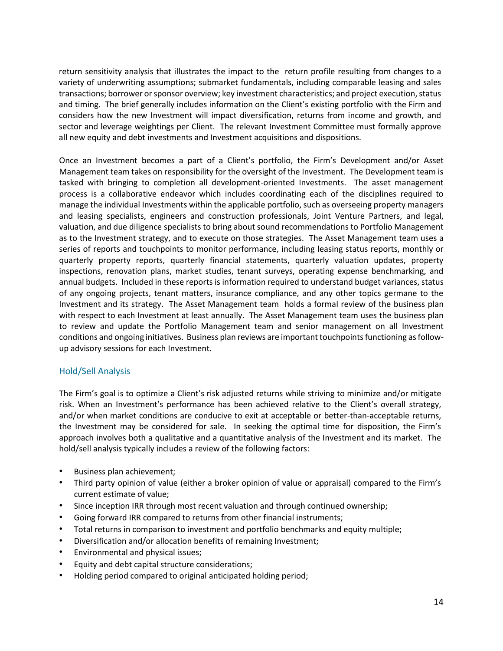return sensitivity analysis that illustrates the impact to the return profile resulting from changes to a variety of underwriting assumptions; submarket fundamentals, including comparable leasing and sales transactions; borrower or sponsor overview; key investment characteristics; and project execution, status and timing. The brief generally includes information on the Client's existing portfolio with the Firm and considers how the new Investment will impact diversification, returns from income and growth, and sector and leverage weightings per Client. The relevant Investment Committee must formally approve all new equity and debt investments and Investment acquisitions and dispositions.

Once an Investment becomes a part of a Client's portfolio, the Firm's Development and/or Asset Management team takes on responsibility for the oversight of the Investment. The Development team is tasked with bringing to completion all development-oriented Investments. The asset management process is a collaborative endeavor which includes coordinating each of the disciplines required to manage the individual Investments within the applicable portfolio, such as overseeing property managers and leasing specialists, engineers and construction professionals, Joint Venture Partners, and legal, valuation, and due diligence specialists to bring about sound recommendations to Portfolio Management as to the Investment strategy, and to execute on those strategies. The Asset Management team uses a series of reports and touchpoints to monitor performance, including leasing status reports, monthly or quarterly property reports, quarterly financial statements, quarterly valuation updates, property inspections, renovation plans, market studies, tenant surveys, operating expense benchmarking, and annual budgets. Included in these reports is information required to understand budget variances, status of any ongoing projects, tenant matters, insurance compliance, and any other topics germane to the Investment and its strategy. The Asset Management team holds a formal review of the business plan with respect to each Investment at least annually. The Asset Management team uses the business plan to review and update the Portfolio Management team and senior management on all Investment conditions and ongoing initiatives. Business plan reviews are important touchpoints functioning as followup advisory sessions for each Investment.

# Hold/Sell Analysis

The Firm's goal is to optimize a Client's risk adjusted returns while striving to minimize and/or mitigate risk. When an Investment's performance has been achieved relative to the Client's overall strategy, and/or when market conditions are conducive to exit at acceptable or better-than-acceptable returns, the Investment may be considered for sale. In seeking the optimal time for disposition, the Firm's approach involves both a qualitative and a quantitative analysis of the Investment and its market. The hold/sell analysis typically includes a review of the following factors:

- Business plan achievement;
- Third party opinion of value (either a broker opinion of value or appraisal) compared to the Firm's current estimate of value;
- Since inception IRR through most recent valuation and through continued ownership;
- Going forward IRR compared to returns from other financial instruments;
- Total returns in comparison to investment and portfolio benchmarks and equity multiple;
- Diversification and/or allocation benefits of remaining Investment;
- Environmental and physical issues;
- Equity and debt capital structure considerations;
- Holding period compared to original anticipated holding period;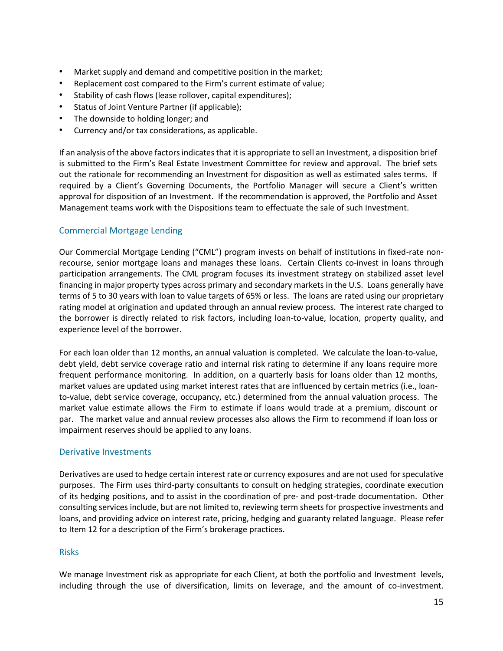- Market supply and demand and competitive position in the market;
- Replacement cost compared to the Firm's current estimate of value;
- Stability of cash flows (lease rollover, capital expenditures);
- Status of Joint Venture Partner (if applicable);
- The downside to holding longer; and
- Currency and/or tax considerations, as applicable.

If an analysis of the above factors indicates that it is appropriate to sell an Investment, a disposition brief is submitted to the Firm's Real Estate Investment Committee for review and approval. The brief sets out the rationale for recommending an Investment for disposition as well as estimated sales terms. If required by a Client's Governing Documents, the Portfolio Manager will secure a Client's written approval for disposition of an Investment. If the recommendation is approved, the Portfolio and Asset Management teams work with the Dispositions team to effectuate the sale of such Investment.

# Commercial Mortgage Lending

Our Commercial Mortgage Lending ("CML") program invests on behalf of institutions in fixed-rate nonrecourse, senior mortgage loans and manages these loans. Certain Clients co-invest in loans through participation arrangements. The CML program focuses its investment strategy on stabilized asset level financing in major property types across primary and secondary markets in the U.S. Loans generally have terms of 5 to 30 years with loan to value targets of 65% or less. The loans are rated using our proprietary rating model at origination and updated through an annual review process. The interest rate charged to the borrower is directly related to risk factors, including loan-to-value, location, property quality, and experience level of the borrower.

For each loan older than 12 months, an annual valuation is completed. We calculate the loan-to-value, debt yield, debt service coverage ratio and internal risk rating to determine if any loans require more frequent performance monitoring. In addition, on a quarterly basis for loans older than 12 months, market values are updated using market interest rates that are influenced by certain metrics (i.e., loanto-value, debt service coverage, occupancy, etc.) determined from the annual valuation process. The market value estimate allows the Firm to estimate if loans would trade at a premium, discount or par. The market value and annual review processes also allows the Firm to recommend if loan loss or impairment reserves should be applied to any loans.

## Derivative Investments

Derivatives are used to hedge certain interest rate or currency exposures and are not used for speculative purposes. The Firm uses third-party consultants to consult on hedging strategies, coordinate execution of its hedging positions, and to assist in the coordination of pre- and post-trade documentation. Other consulting services include, but are not limited to, reviewing term sheets for prospective investments and loans, and providing advice on interest rate, pricing, hedging and guaranty related language. Please refer to Item 12 for a description of the Firm's brokerage practices.

## Risks

We manage Investment risk as appropriate for each Client, at both the portfolio and Investment levels, including through the use of diversification, limits on leverage, and the amount of co-investment.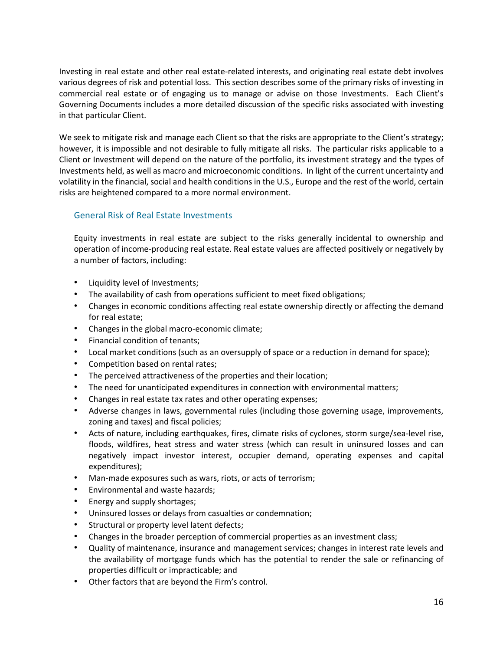Investing in real estate and other real estate-related interests, and originating real estate debt involves various degrees of risk and potential loss. This section describes some of the primary risks of investing in commercial real estate or of engaging us to manage or advise on those Investments. Each Client's Governing Documents includes a more detailed discussion of the specific risks associated with investing in that particular Client.

We seek to mitigate risk and manage each Client so that the risks are appropriate to the Client's strategy; however, it is impossible and not desirable to fully mitigate all risks. The particular risks applicable to a Client or Investment will depend on the nature of the portfolio, its investment strategy and the types of Investments held, as well as macro and microeconomic conditions. In light of the current uncertainty and volatility in the financial, social and health conditions in the U.S., Europe and the rest of the world, certain risks are heightened compared to a more normal environment.

# General Risk of Real Estate Investments

Equity investments in real estate are subject to the risks generally incidental to ownership and operation of income-producing real estate. Real estate values are affected positively or negatively by a number of factors, including:

- Liquidity level of Investments;
- The availability of cash from operations sufficient to meet fixed obligations;
- Changes in economic conditions affecting real estate ownership directly or affecting the demand for real estate;
- Changes in the global macro-economic climate;
- Financial condition of tenants;
- Local market conditions (such as an oversupply of space or a reduction in demand for space);
- Competition based on rental rates;
- The perceived attractiveness of the properties and their location;
- The need for unanticipated expenditures in connection with environmental matters;
- Changes in real estate tax rates and other operating expenses;
- Adverse changes in laws, governmental rules (including those governing usage, improvements, zoning and taxes) and fiscal policies;
- Acts of nature, including earthquakes, fires, climate risks of cyclones, storm surge/sea-level rise, floods, wildfires, heat stress and water stress (which can result in uninsured losses and can negatively impact investor interest, occupier demand, operating expenses and capital expenditures);
- Man-made exposures such as wars, riots, or acts of terrorism;
- Environmental and waste hazards;
- Energy and supply shortages;
- Uninsured losses or delays from casualties or condemnation;
- Structural or property level latent defects;
- Changes in the broader perception of commercial properties as an investment class;
- Quality of maintenance, insurance and management services; changes in interest rate levels and the availability of mortgage funds which has the potential to render the sale or refinancing of properties difficult or impracticable; and
- Other factors that are beyond the Firm's control.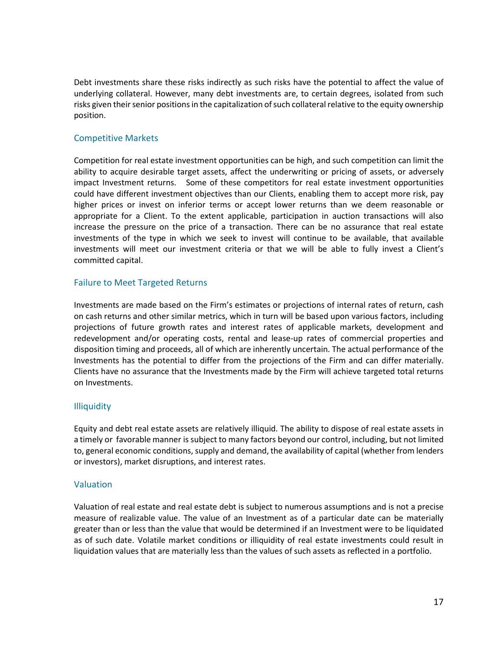Debt investments share these risks indirectly as such risks have the potential to affect the value of underlying collateral. However, many debt investments are, to certain degrees, isolated from such risks given their senior positions in the capitalization of such collateral relative to the equity ownership position.

# Competitive Markets

Competition for real estate investment opportunities can be high, and such competition can limit the ability to acquire desirable target assets, affect the underwriting or pricing of assets, or adversely impact Investment returns. Some of these competitors for real estate investment opportunities could have different investment objectives than our Clients, enabling them to accept more risk, pay higher prices or invest on inferior terms or accept lower returns than we deem reasonable or appropriate for a Client. To the extent applicable, participation in auction transactions will also increase the pressure on the price of a transaction. There can be no assurance that real estate investments of the type in which we seek to invest will continue to be available, that available investments will meet our investment criteria or that we will be able to fully invest a Client's committed capital.

# Failure to Meet Targeted Returns

Investments are made based on the Firm's estimates or projections of internal rates of return, cash on cash returns and other similar metrics, which in turn will be based upon various factors, including projections of future growth rates and interest rates of applicable markets, development and redevelopment and/or operating costs, rental and lease-up rates of commercial properties and disposition timing and proceeds, all of which are inherently uncertain. The actual performance of the Investments has the potential to differ from the projections of the Firm and can differ materially. Clients have no assurance that the Investments made by the Firm will achieve targeted total returns on Investments.

# **Illiquidity**

Equity and debt real estate assets are relatively illiquid. The ability to dispose of real estate assets in a timely or favorable manner is subject to many factors beyond our control, including, but not limited to, general economic conditions, supply and demand, the availability of capital (whether from lenders or investors), market disruptions, and interest rates.

# Valuation

Valuation of real estate and real estate debt is subject to numerous assumptions and is not a precise measure of realizable value. The value of an Investment as of a particular date can be materially greater than or less than the value that would be determined if an Investment were to be liquidated as of such date. Volatile market conditions or illiquidity of real estate investments could result in liquidation values that are materially less than the values of such assets as reflected in a portfolio.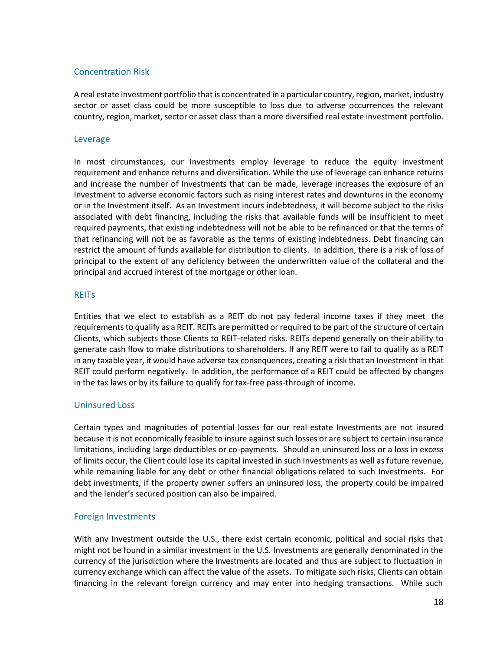# Concentration Risk

A real estate investment portfolio that is concentrated in a particular country, region, market, industry sector or asset class could be more susceptible to loss due to adverse occurrences the relevant country, region, market, sector or asset class than a more diversified real estate investment portfolio.

## Leverage

In most circumstances, our Investments employ leverage to reduce the equity investment requirement and enhance returns and diversification. While the use of leverage can enhance returns and increase the number of Investments that can be made, leverage increases the exposure of an Investment to adverse economic factors such as rising interest rates and downturns in the economy or in the Investment itself. As an Investment incurs indebtedness, it will become subject to the risks associated with debt financing, including the risks that available funds will be insufficient to meet required payments, that existing indebtedness will not be able to be refinanced or that the terms of that refinancing will not be as favorable as the terms of existing indebtedness. Debt financing can restrict the amount of funds available for distribution to clients. In addition, there is a risk of loss of principal to the extent of any deficiency between the underwritten value of the collateral and the principal and accrued interest of the mortgage or other loan.

#### **REITS**

Entities that we elect to establish as a REIT do not pay federal income taxes if they meet the requirements to qualify as a REIT. REITs are permitted or required to be part of the structure of certain Clients, which subjects those Clients to REIT-related risks. REITs depend generally on their ability to generate cash flow to make distributions to shareholders. If any REIT were to fail to qualify as a REIT in any taxable year, it would have adverse tax consequences, creating a risk that an Investment in that REIT could perform negatively. In addition, the performance of a REIT could be affected by changes in the tax laws or by its failure to qualify for tax-free pass-through of income.

## Uninsured Loss

Certain types and magnitudes of potential losses for our real estate Investments are not insured because it is not economically feasible to insure against such losses or are subject to certain insurance limitations, including large deductibles or co-payments. Should an uninsured loss or a loss in excess of limits occur, the Client could lose its capital invested in such Investments as well as future revenue, while remaining liable for any debt or other financial obligations related to such Investments. For debt investments, if the property owner suffers an uninsured loss, the property could be impaired and the lender's secured position can also be impaired.

## Foreign Investments

With any Investment outside the U.S., there exist certain economic, political and social risks that might not be found in a similar investment in the U.S. Investments are generally denominated in the currency of the jurisdiction where the Investments are located and thus are subject to fluctuation in currency exchange which can affect the value of the assets. To mitigate such risks, Clients can obtain financing in the relevant foreign currency and may enter into hedging transactions. While such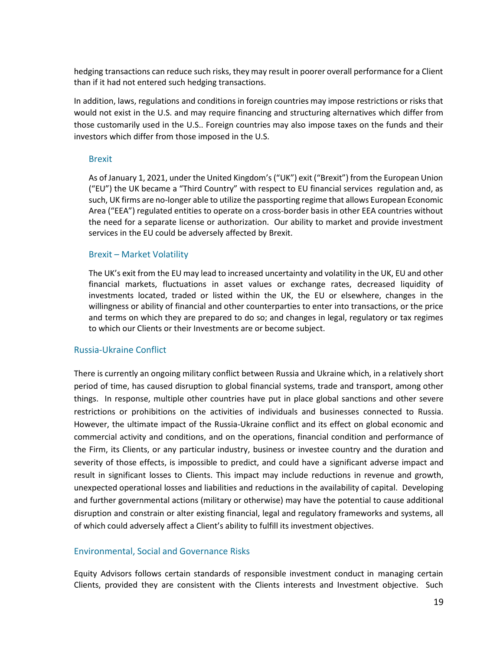hedging transactions can reduce such risks, they may result in poorer overall performance for a Client than if it had not entered such hedging transactions.

In addition, laws, regulations and conditions in foreign countries may impose restrictions or risks that would not exist in the U.S. and may require financing and structuring alternatives which differ from those customarily used in the U.S.. Foreign countries may also impose taxes on the funds and their investors which differ from those imposed in the U.S.

#### Brexit

As of January 1, 2021, under the United Kingdom's ("UK") exit ("Brexit") from the European Union ("EU") the UK became a "Third Country" with respect to EU financial services regulation and, as such, UK firms are no-longer able to utilize the passporting regime that allows European Economic Area ("EEA") regulated entities to operate on a cross-border basis in other EEA countries without the need for a separate license or authorization. Our ability to market and provide investment services in the EU could be adversely affected by Brexit.

## Brexit – Market Volatility

The UK's exit from the EU may lead to increased uncertainty and volatility in the UK, EU and other financial markets, fluctuations in asset values or exchange rates, decreased liquidity of investments located, traded or listed within the UK, the EU or elsewhere, changes in the willingness or ability of financial and other counterparties to enter into transactions, or the price and terms on which they are prepared to do so; and changes in legal, regulatory or tax regimes to which our Clients or their Investments are or become subject.

## Russia-Ukraine Conflict

There is currently an ongoing military conflict between Russia and Ukraine which, in a relatively short period of time, has caused disruption to global financial systems, trade and transport, among other things. In response, multiple other countries have put in place global sanctions and other severe restrictions or prohibitions on the activities of individuals and businesses connected to Russia. However, the ultimate impact of the Russia-Ukraine conflict and its effect on global economic and commercial activity and conditions, and on the operations, financial condition and performance of the Firm, its Clients, or any particular industry, business or investee country and the duration and severity of those effects, is impossible to predict, and could have a significant adverse impact and result in significant losses to Clients. This impact may include reductions in revenue and growth, unexpected operational losses and liabilities and reductions in the availability of capital. Developing and further governmental actions (military or otherwise) may have the potential to cause additional disruption and constrain or alter existing financial, legal and regulatory frameworks and systems, all of which could adversely affect a Client's ability to fulfill its investment objectives.

## Environmental, Social and Governance Risks

Equity Advisors follows certain standards of responsible investment conduct in managing certain Clients, provided they are consistent with the Clients interests and Investment objective. Such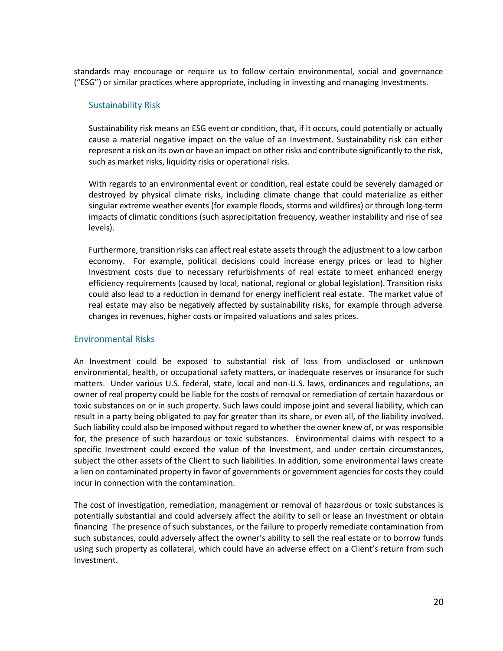standards may encourage or require us to follow certain environmental, social and governance ("ESG") or similar practices where appropriate, including in investing and managing Investments.

# Sustainability Risk

Sustainability risk means an ESG event or condition, that, if it occurs, could potentially or actually cause a material negative impact on the value of an Investment. Sustainability risk can either represent a risk on its own or have an impact on other risks and contribute significantly to the risk, such as market risks, liquidity risks or operational risks.

With regards to an environmental event or condition, real estate could be severely damaged or destroyed by physical climate risks, including climate change that could materialize as either singular extreme weather events (for example floods, storms and wildfires) or through long-term impacts of climatic conditions (such asprecipitation frequency, weather instability and rise of sea levels).

Furthermore, transition risks can affect real estate assets through the adjustment to a low carbon economy. For example, political decisions could increase energy prices or lead to higher Investment costs due to necessary refurbishments of real estate tomeet enhanced energy efficiency requirements (caused by local, national, regional or global legislation). Transition risks could also lead to a reduction in demand for energy inefficient real estate. The market value of real estate may also be negatively affected by sustainability risks, for example through adverse changes in revenues, higher costs or impaired valuations and sales prices.

## Environmental Risks

An Investment could be exposed to substantial risk of loss from undisclosed or unknown environmental, health, or occupational safety matters, or inadequate reserves or insurance for such matters. Under various U.S. federal, state, local and non-U.S. laws, ordinances and regulations, an owner of real property could be liable for the costs of removal or remediation of certain hazardous or toxic substances on or in such property. Such laws could impose joint and several liability, which can result in a party being obligated to pay for greater than its share, or even all, of the liability involved. Such liability could also be imposed without regard to whether the owner knew of, or was responsible for, the presence of such hazardous or toxic substances. Environmental claims with respect to a specific Investment could exceed the value of the Investment, and under certain circumstances, subject the other assets of the Client to such liabilities. In addition, some environmental laws create a lien on contaminated property in favor of governments or government agencies for costs they could incur in connection with the contamination.

The cost of investigation, remediation, management or removal of hazardous or toxic substances is potentially substantial and could adversely affect the ability to sell or lease an Investment or obtain financing The presence of such substances, or the failure to properly remediate contamination from such substances, could adversely affect the owner's ability to sell the real estate or to borrow funds using such property as collateral, which could have an adverse effect on a Client's return from such Investment.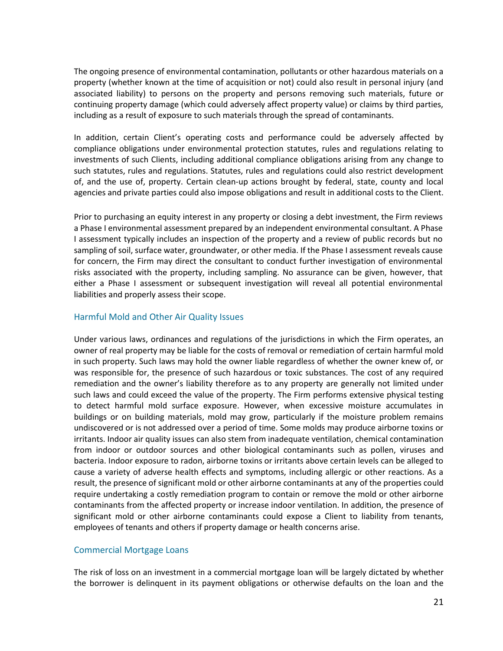The ongoing presence of environmental contamination, pollutants or other hazardous materials on a property (whether known at the time of acquisition or not) could also result in personal injury (and associated liability) to persons on the property and persons removing such materials, future or continuing property damage (which could adversely affect property value) or claims by third parties, including as a result of exposure to such materials through the spread of contaminants.

In addition, certain Client's operating costs and performance could be adversely affected by compliance obligations under environmental protection statutes, rules and regulations relating to investments of such Clients, including additional compliance obligations arising from any change to such statutes, rules and regulations. Statutes, rules and regulations could also restrict development of, and the use of, property. Certain clean-up actions brought by federal, state, county and local agencies and private parties could also impose obligations and result in additional costs to the Client.

Prior to purchasing an equity interest in any property or closing a debt investment, the Firm reviews a Phase I environmental assessment prepared by an independent environmental consultant. A Phase I assessment typically includes an inspection of the property and a review of public records but no sampling of soil, surface water, groundwater, or other media. If the Phase I assessment reveals cause for concern, the Firm may direct the consultant to conduct further investigation of environmental risks associated with the property, including sampling. No assurance can be given, however, that either a Phase I assessment or subsequent investigation will reveal all potential environmental liabilities and properly assess their scope.

# Harmful Mold and Other Air Quality Issues

Under various laws, ordinances and regulations of the jurisdictions in which the Firm operates, an owner of real property may be liable for the costs of removal or remediation of certain harmful mold in such property. Such laws may hold the owner liable regardless of whether the owner knew of, or was responsible for, the presence of such hazardous or toxic substances. The cost of any required remediation and the owner's liability therefore as to any property are generally not limited under such laws and could exceed the value of the property. The Firm performs extensive physical testing to detect harmful mold surface exposure. However, when excessive moisture accumulates in buildings or on building materials, mold may grow, particularly if the moisture problem remains undiscovered or is not addressed over a period of time. Some molds may produce airborne toxins or irritants. Indoor air quality issues can also stem from inadequate ventilation, chemical contamination from indoor or outdoor sources and other biological contaminants such as pollen, viruses and bacteria. Indoor exposure to radon, airborne toxins or irritants above certain levels can be alleged to cause a variety of adverse health effects and symptoms, including allergic or other reactions. As a result, the presence of significant mold or other airborne contaminants at any of the properties could require undertaking a costly remediation program to contain or remove the mold or other airborne contaminants from the affected property or increase indoor ventilation. In addition, the presence of significant mold or other airborne contaminants could expose a Client to liability from tenants, employees of tenants and others if property damage or health concerns arise.

## Commercial Mortgage Loans

The risk of loss on an investment in a commercial mortgage loan will be largely dictated by whether the borrower is delinquent in its payment obligations or otherwise defaults on the loan and the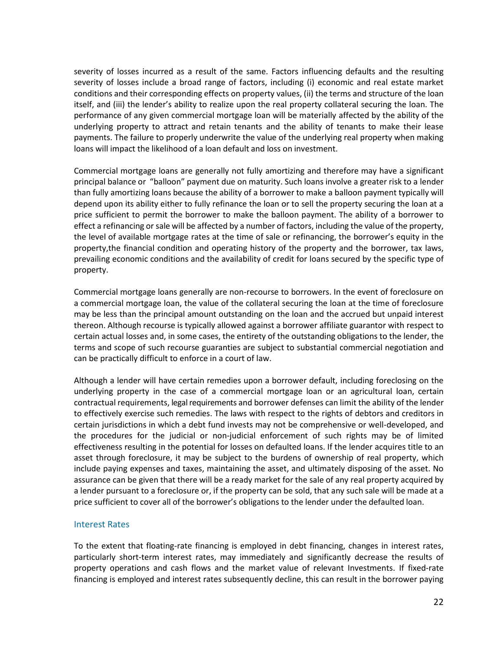severity of losses incurred as a result of the same. Factors influencing defaults and the resulting severity of losses include a broad range of factors, including (i) economic and real estate market conditions and their corresponding effects on property values, (ii) the terms and structure of the loan itself, and (iii) the lender's ability to realize upon the real property collateral securing the loan. The performance of any given commercial mortgage loan will be materially affected by the ability of the underlying property to attract and retain tenants and the ability of tenants to make their lease payments. The failure to properly underwrite the value of the underlying real property when making loans will impact the likelihood of a loan default and loss on investment.

Commercial mortgage loans are generally not fully amortizing and therefore may have a significant principal balance or "balloon" payment due on maturity. Such loans involve a greater risk to a lender than fully amortizing loans because the ability of a borrower to make a balloon payment typically will depend upon its ability either to fully refinance the loan or to sell the property securing the loan at a price sufficient to permit the borrower to make the balloon payment. The ability of a borrower to effect a refinancing or sale will be affected by a number of factors, including the value of the property, the level of available mortgage rates at the time of sale or refinancing, the borrower's equity in the property,the financial condition and operating history of the property and the borrower, tax laws, prevailing economic conditions and the availability of credit for loans secured by the specific type of property.

Commercial mortgage loans generally are non-recourse to borrowers. In the event of foreclosure on a commercial mortgage loan, the value of the collateral securing the loan at the time of foreclosure may be less than the principal amount outstanding on the loan and the accrued but unpaid interest thereon. Although recourse is typically allowed against a borrower affiliate guarantor with respect to certain actual losses and, in some cases, the entirety of the outstanding obligations to the lender, the terms and scope of such recourse guaranties are subject to substantial commercial negotiation and can be practically difficult to enforce in a court of law.

Although a lender will have certain remedies upon a borrower default, including foreclosing on the underlying property in the case of a commercial mortgage loan or an agricultural loan, certain contractual requirements, legal requirements and borrower defenses can limit the ability of the lender to effectively exercise such remedies. The laws with respect to the rights of debtors and creditors in certain jurisdictions in which a debt fund invests may not be comprehensive or well-developed, and the procedures for the judicial or non-judicial enforcement of such rights may be of limited effectiveness resulting in the potential for losses on defaulted loans. If the lender acquires title to an asset through foreclosure, it may be subject to the burdens of ownership of real property, which include paying expenses and taxes, maintaining the asset, and ultimately disposing of the asset. No assurance can be given that there will be a ready market for the sale of any real property acquired by a lender pursuant to a foreclosure or, if the property can be sold, that any such sale will be made at a price sufficient to cover all of the borrower's obligations to the lender under the defaulted loan.

## Interest Rates

To the extent that floating-rate financing is employed in debt financing, changes in interest rates, particularly short-term interest rates, may immediately and significantly decrease the results of property operations and cash flows and the market value of relevant Investments. If fixed-rate financing is employed and interest rates subsequently decline, this can result in the borrower paying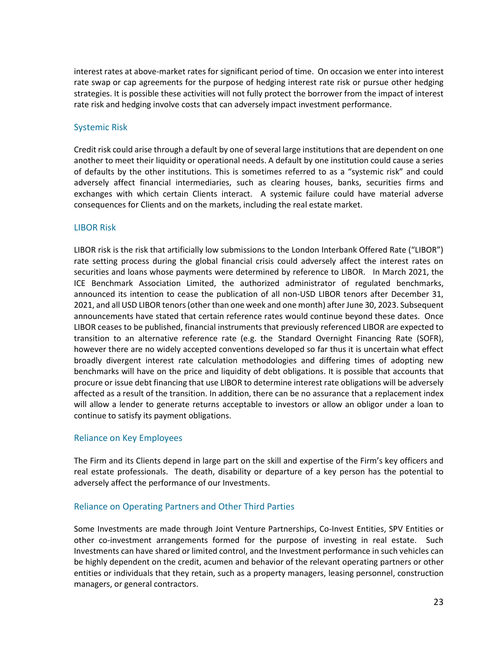interest rates at above-market rates for significant period of time. On occasion we enter into interest rate swap or cap agreements for the purpose of hedging interest rate risk or pursue other hedging strategies. It is possible these activities will not fully protect the borrower from the impact of interest rate risk and hedging involve costs that can adversely impact investment performance.

# Systemic Risk

Credit risk could arise through a default by one of several large institutions that are dependent on one another to meet their liquidity or operational needs. A default by one institution could cause a series of defaults by the other institutions. This is sometimes referred to as a "systemic risk" and could adversely affect financial intermediaries, such as clearing houses, banks, securities firms and exchanges with which certain Clients interact. A systemic failure could have material adverse consequences for Clients and on the markets, including the real estate market.

## LIBOR Risk

LIBOR risk is the risk that artificially low submissions to the London Interbank Offered Rate ("LIBOR") rate setting process during the global financial crisis could adversely affect the interest rates on securities and loans whose payments were determined by reference to LIBOR. In March 2021, the ICE Benchmark Association Limited, the authorized administrator of regulated benchmarks, announced its intention to cease the publication of all non-USD LIBOR tenors after December 31, 2021, and all USD LIBOR tenors (other than one week and one month) after June 30, 2023. Subsequent announcements have stated that certain reference rates would continue beyond these dates. Once LIBOR ceases to be published, financial instruments that previously referenced LIBOR are expected to transition to an alternative reference rate (e.g. the Standard Overnight Financing Rate (SOFR), however there are no widely accepted conventions developed so far thus it is uncertain what effect broadly divergent interest rate calculation methodologies and differing times of adopting new benchmarks will have on the price and liquidity of debt obligations. It is possible that accounts that procure or issue debt financing that use LIBOR to determine interest rate obligations will be adversely affected as a result of the transition. In addition, there can be no assurance that a replacement index will allow a lender to generate returns acceptable to investors or allow an obligor under a loan to continue to satisfy its payment obligations.

# Reliance on Key Employees

The Firm and its Clients depend in large part on the skill and expertise of the Firm's key officers and real estate professionals. The death, disability or departure of a key person has the potential to adversely affect the performance of our Investments.

# Reliance on Operating Partners and Other Third Parties

Some Investments are made through Joint Venture Partnerships, Co-Invest Entities, SPV Entities or other co-investment arrangements formed for the purpose of investing in real estate. Such Investments can have shared or limited control, and the Investment performance in such vehicles can be highly dependent on the credit, acumen and behavior of the relevant operating partners or other entities or individuals that they retain, such as a property managers, leasing personnel, construction managers, or general contractors.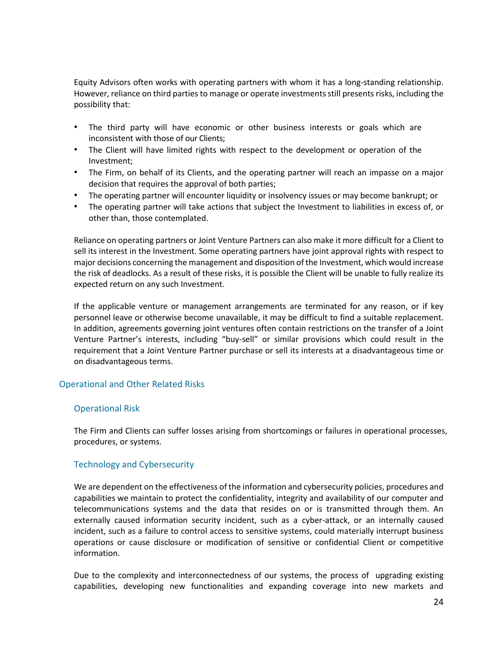Equity Advisors often works with operating partners with whom it has a long-standing relationship. However, reliance on third parties to manage or operate investments still presents risks, including the possibility that:

- The third party will have economic or other business interests or goals which are inconsistent with those of our Clients;
- The Client will have limited rights with respect to the development or operation of the Investment;
- The Firm, on behalf of its Clients, and the operating partner will reach an impasse on a major decision that requires the approval of both parties;
- The operating partner will encounter liquidity or insolvency issues or may become bankrupt; or
- The operating partner will take actions that subject the Investment to liabilities in excess of, or other than, those contemplated.

Reliance on operating partners or Joint Venture Partners can also make it more difficult for a Client to sell its interest in the Investment. Some operating partners have joint approval rights with respect to major decisions concerning the management and disposition of the Investment, which would increase the risk of deadlocks. As a result of these risks, it is possible the Client will be unable to fully realize its expected return on any such Investment.

If the applicable venture or management arrangements are terminated for any reason, or if key personnel leave or otherwise become unavailable, it may be difficult to find a suitable replacement. In addition, agreements governing joint ventures often contain restrictions on the transfer of a Joint Venture Partner's interests, including "buy-sell" or similar provisions which could result in the requirement that a Joint Venture Partner purchase or sell its interests at a disadvantageous time or on disadvantageous terms.

## Operational and Other Related Risks

## Operational Risk

The Firm and Clients can suffer losses arising from shortcomings or failures in operational processes, procedures, or systems.

## Technology and Cybersecurity

We are dependent on the effectiveness of the information and cybersecurity policies, procedures and capabilities we maintain to protect the confidentiality, integrity and availability of our computer and telecommunications systems and the data that resides on or is transmitted through them. An externally caused information security incident, such as a cyber-attack, or an internally caused incident, such as a failure to control access to sensitive systems, could materially interrupt business operations or cause disclosure or modification of sensitive or confidential Client or competitive information.

Due to the complexity and interconnectedness of our systems, the process of upgrading existing capabilities, developing new functionalities and expanding coverage into new markets and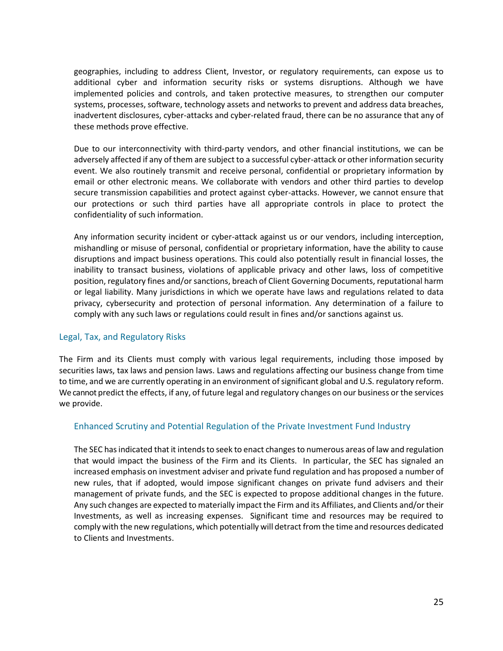geographies, including to address Client, Investor, or regulatory requirements, can expose us to additional cyber and information security risks or systems disruptions. Although we have implemented policies and controls, and taken protective measures, to strengthen our computer systems, processes, software, technology assets and networks to prevent and address data breaches, inadvertent disclosures, cyber-attacks and cyber-related fraud, there can be no assurance that any of these methods prove effective.

Due to our interconnectivity with third-party vendors, and other financial institutions, we can be adversely affected if any of them are subject to a successful cyber-attack or other information security event. We also routinely transmit and receive personal, confidential or proprietary information by email or other electronic means. We collaborate with vendors and other third parties to develop secure transmission capabilities and protect against cyber-attacks. However, we cannot ensure that our protections or such third parties have all appropriate controls in place to protect the confidentiality of such information.

Any information security incident or cyber-attack against us or our vendors, including interception, mishandling or misuse of personal, confidential or proprietary information, have the ability to cause disruptions and impact business operations. This could also potentially result in financial losses, the inability to transact business, violations of applicable privacy and other laws, loss of competitive position, regulatory fines and/or sanctions, breach of Client Governing Documents, reputational harm or legal liability. Many jurisdictions in which we operate have laws and regulations related to data privacy, cybersecurity and protection of personal information. Any determination of a failure to comply with any such laws or regulations could result in fines and/or sanctions against us.

## Legal, Tax, and Regulatory Risks

The Firm and its Clients must comply with various legal requirements, including those imposed by securities laws, tax laws and pension laws. Laws and regulations affecting our business change from time to time, and we are currently operating in an environment of significant global and U.S. regulatory reform. We cannot predict the effects, if any, of future legal and regulatory changes on our business or the services we provide.

# Enhanced Scrutiny and Potential Regulation of the Private Investment Fund Industry

The SEC has indicated that it intends to seek to enact changes to numerous areas of law and regulation that would impact the business of the Firm and its Clients. In particular, the SEC has signaled an increased emphasis on investment adviser and private fund regulation and has proposed a number of new rules, that if adopted, would impose significant changes on private fund advisers and their management of private funds, and the SEC is expected to propose additional changes in the future. Any such changes are expected to materially impact the Firm and its Affiliates, and Clients and/or their Investments, as well as increasing expenses. Significant time and resources may be required to comply with the new regulations, which potentially will detract from the time and resources dedicated to Clients and Investments.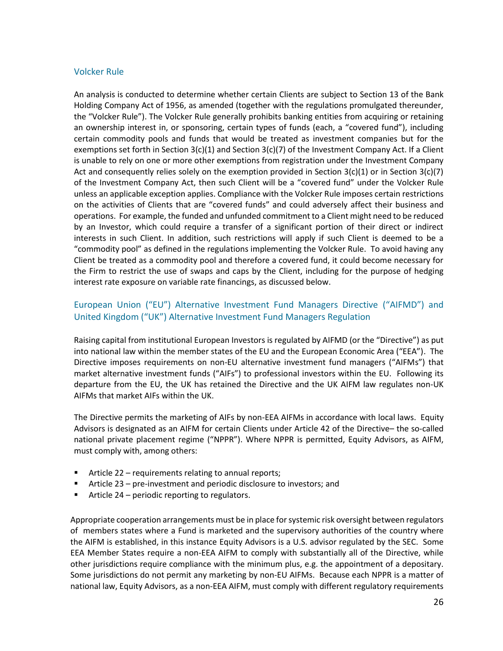## Volcker Rule

An analysis is conducted to determine whether certain Clients are subject to Section 13 of the Bank Holding Company Act of 1956, as amended (together with the regulations promulgated thereunder, the "Volcker Rule"). The Volcker Rule generally prohibits banking entities from acquiring or retaining an ownership interest in, or sponsoring, certain types of funds (each, a "covered fund"), including certain commodity pools and funds that would be treated as investment companies but for the exemptions set forth in Section  $3(c)(1)$  and Section  $3(c)(7)$  of the Investment Company Act. If a Client is unable to rely on one or more other exemptions from registration under the Investment Company Act and consequently relies solely on the exemption provided in Section  $3(c)(1)$  or in Section  $3(c)(7)$ of the Investment Company Act, then such Client will be a "covered fund" under the Volcker Rule unless an applicable exception applies. Compliance with the Volcker Rule imposes certain restrictions on the activities of Clients that are "covered funds" and could adversely affect their business and operations. For example, the funded and unfunded commitment to a Client might need to be reduced by an Investor, which could require a transfer of a significant portion of their direct or indirect interests in such Client. In addition, such restrictions will apply if such Client is deemed to be a "commodity pool" as defined in the regulations implementing the Volcker Rule. To avoid having any Client be treated as a commodity pool and therefore a covered fund, it could become necessary for the Firm to restrict the use of swaps and caps by the Client, including for the purpose of hedging interest rate exposure on variable rate financings, as discussed below.

# European Union ("EU") Alternative Investment Fund Managers Directive ("AIFMD") and United Kingdom ("UK") Alternative Investment Fund Managers Regulation

Raising capital from institutional European Investors is regulated by AIFMD (or the "Directive") as put into national law within the member states of the EU and the European Economic Area ("EEA"). The Directive imposes requirements on non-EU alternative investment fund managers ("AIFMs") that market alternative investment funds ("AIFs") to professional investors within the EU. Following its departure from the EU, the UK has retained the Directive and the UK AIFM law regulates non-UK AIFMs that market AIFs within the UK.

The Directive permits the marketing of AIFs by non-EEA AIFMs in accordance with local laws. Equity Advisors is designated as an AIFM for certain Clients under Article 42 of the Directive– the so-called national private placement regime ("NPPR"). Where NPPR is permitted, Equity Advisors, as AIFM, must comply with, among others:

- Article 22 requirements relating to annual reports;
- Article 23 pre-investment and periodic disclosure to investors; and
- Article 24 periodic reporting to regulators.

Appropriate cooperation arrangements must be in place for systemic risk oversight between regulators of members states where a Fund is marketed and the supervisory authorities of the country where the AIFM is established, in this instance Equity Advisors is a U.S. advisor regulated by the SEC. Some EEA Member States require a non-EEA AIFM to comply with substantially all of the Directive, while other jurisdictions require compliance with the minimum plus, e.g. the appointment of a depositary. Some jurisdictions do not permit any marketing by non-EU AIFMs. Because each NPPR is a matter of national law, Equity Advisors, as a non-EEA AIFM, must comply with different regulatory requirements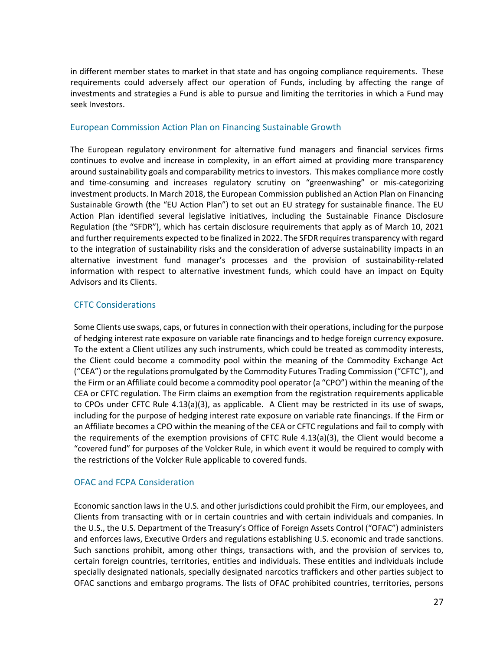in different member states to market in that state and has ongoing compliance requirements. These requirements could adversely affect our operation of Funds, including by affecting the range of investments and strategies a Fund is able to pursue and limiting the territories in which a Fund may seek Investors.

# European Commission Action Plan on Financing Sustainable Growth

The European regulatory environment for alternative fund managers and financial services firms continues to evolve and increase in complexity, in an effort aimed at providing more transparency around sustainability goals and comparability metrics to investors. This makes compliance more costly and time-consuming and increases regulatory scrutiny on "greenwashing" or mis-categorizing investment products. In March 2018, the European Commission published an Action Plan on Financing Sustainable Growth (the "EU Action Plan") to set out an EU strategy for sustainable finance. The EU Action Plan identified several legislative initiatives, including the Sustainable Finance Disclosure Regulation (the "SFDR"), which has certain disclosure requirements that apply as of March 10, 2021 and further requirements expected to be finalized in 2022. The SFDR requires transparency with regard to the integration of sustainability risks and the consideration of adverse sustainability impacts in an alternative investment fund manager's processes and the provision of sustainability-related information with respect to alternative investment funds, which could have an impact on Equity Advisors and its Clients.

# CFTC Considerations

Some Clients use swaps, caps, or futuresin connection with their operations, including for the purpose of hedging interest rate exposure on variable rate financings and to hedge foreign currency exposure. To the extent a Client utilizes any such instruments, which could be treated as commodity interests, the Client could become a commodity pool within the meaning of the Commodity Exchange Act ("CEA") or the regulations promulgated by the Commodity Futures Trading Commission ("CFTC"), and the Firm or an Affiliate could become a commodity pool operator (a "CPO") within the meaning of the CEA or CFTC regulation. The Firm claims an exemption from the registration requirements applicable to CPOs under CFTC Rule 4.13(a)(3), as applicable. A Client may be restricted in its use of swaps, including for the purpose of hedging interest rate exposure on variable rate financings. If the Firm or an Affiliate becomes a CPO within the meaning of the CEA or CFTC regulations and fail to comply with the requirements of the exemption provisions of CFTC Rule 4.13(a)(3), the Client would become a "covered fund" for purposes of the Volcker Rule, in which event it would be required to comply with the restrictions of the Volcker Rule applicable to covered funds.

# OFAC and FCPA Consideration

Economic sanction laws in the U.S. and other jurisdictions could prohibit the Firm, our employees, and Clients from transacting with or in certain countries and with certain individuals and companies. In the U.S., the U.S. Department of the Treasury's Office of Foreign Assets Control ("OFAC") administers and enforces laws, Executive Orders and regulations establishing U.S. economic and trade sanctions. Such sanctions prohibit, among other things, transactions with, and the provision of services to, certain foreign countries, territories, entities and individuals. These entities and individuals include specially designated nationals, specially designated narcotics traffickers and other parties subject to OFAC sanctions and embargo programs. The lists of OFAC prohibited countries, territories, persons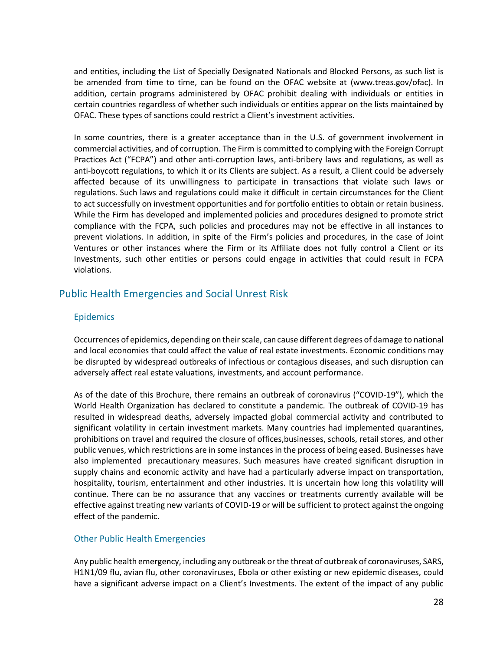and entities, including the List of Specially Designated Nationals and Blocked Persons, as such list is be amended from time to time, can be found on the OFAC website at (www.treas.gov/ofac). In addition, certain programs administered by OFAC prohibit dealing with individuals or entities in certain countries regardless of whether such individuals or entities appear on the lists maintained by OFAC. These types of sanctions could restrict a Client's investment activities.

In some countries, there is a greater acceptance than in the U.S. of government involvement in commercial activities, and of corruption. The Firm is committed to complying with the Foreign Corrupt Practices Act ("FCPA") and other anti-corruption laws, anti-bribery laws and regulations, as well as anti-boycott regulations, to which it or its Clients are subject. As a result, a Client could be adversely affected because of its unwillingness to participate in transactions that violate such laws or regulations. Such laws and regulations could make it difficult in certain circumstances for the Client to act successfully on investment opportunities and for portfolio entities to obtain or retain business. While the Firm has developed and implemented policies and procedures designed to promote strict compliance with the FCPA, such policies and procedures may not be effective in all instances to prevent violations. In addition, in spite of the Firm's policies and procedures, in the case of Joint Ventures or other instances where the Firm or its Affiliate does not fully control a Client or its Investments, such other entities or persons could engage in activities that could result in FCPA violations.

# Public Health Emergencies and Social Unrest Risk

# Epidemics

Occurrences of epidemics, depending on their scale, can cause different degrees of damage to national and local economies that could affect the value of real estate investments. Economic conditions may be disrupted by widespread outbreaks of infectious or contagious diseases, and such disruption can adversely affect real estate valuations, investments, and account performance.

As of the date of this Brochure, there remains an outbreak of coronavirus ("COVID-19"), which the World Health Organization has declared to constitute a pandemic. The outbreak of COVID-19 has resulted in widespread deaths, adversely impacted global commercial activity and contributed to significant volatility in certain investment markets. Many countries had implemented quarantines, prohibitions on travel and required the closure of offices,businesses, schools, retail stores, and other public venues, which restrictions are in some instances in the process of being eased. Businesses have also implemented precautionary measures. Such measures have created significant disruption in supply chains and economic activity and have had a particularly adverse impact on transportation, hospitality, tourism, entertainment and other industries. It is uncertain how long this volatility will continue. There can be no assurance that any vaccines or treatments currently available will be effective against treating new variants of COVID-19 or will be sufficient to protect against the ongoing effect of the pandemic.

# Other Public Health Emergencies

Any public health emergency, including any outbreak or the threat of outbreak of coronaviruses, SARS, H1N1/09 flu, avian flu, other coronaviruses, Ebola or other existing or new epidemic diseases, could have a significant adverse impact on a Client's Investments. The extent of the impact of any public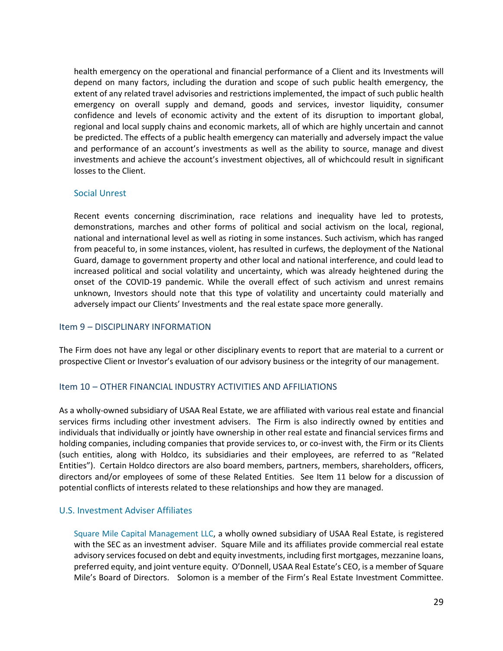health emergency on the operational and financial performance of a Client and its Investments will depend on many factors, including the duration and scope of such public health emergency, the extent of any related travel advisories and restrictions implemented, the impact of such public health emergency on overall supply and demand, goods and services, investor liquidity, consumer confidence and levels of economic activity and the extent of its disruption to important global, regional and local supply chains and economic markets, all of which are highly uncertain and cannot be predicted. The effects of a public health emergency can materially and adversely impact the value and performance of an account's investments as well as the ability to source, manage and divest investments and achieve the account's investment objectives, all of whichcould result in significant losses to the Client.

## Social Unrest

Recent events concerning discrimination, race relations and inequality have led to protests, demonstrations, marches and other forms of political and social activism on the local, regional, national and international level as well as rioting in some instances. Such activism, which has ranged from peaceful to, in some instances, violent, has resulted in curfews, the deployment of the National Guard, damage to government property and other local and national interference, and could lead to increased political and social volatility and uncertainty, which was already heightened during the onset of the COVID-19 pandemic. While the overall effect of such activism and unrest remains unknown, Investors should note that this type of volatility and uncertainty could materially and adversely impact our Clients' Investments and the real estate space more generally.

## <span id="page-31-0"></span>Item 9 – DISCIPLINARY INFORMATION

The Firm does not have any legal or other disciplinary events to report that are material to a current or prospective Client or Investor's evaluation of our advisory business or the integrity of our management.

## <span id="page-31-1"></span>Item 10 – OTHER FINANCIAL INDUSTRY ACTIVITIES AND AFFILIATIONS

As a wholly-owned subsidiary of USAA Real Estate, we are affiliated with various real estate and financial services firms including other investment advisers. The Firm is also indirectly owned by entities and individuals that individually or jointly have ownership in other real estate and financial services firms and holding companies, including companies that provide services to, or co-invest with, the Firm or its Clients (such entities, along with Holdco, its subsidiaries and their employees, are referred to as "Related Entities"). Certain Holdco directors are also board members, partners, members, shareholders, officers, directors and/or employees of some of these Related Entities. See Item 11 below for a discussion of potential conflicts of interests related to these relationships and how they are managed.

## U.S. Investment Adviser Affiliates

Square Mile Capital Management LLC, a wholly owned subsidiary of USAA Real Estate, is registered with the SEC as an investment adviser. Square Mile and its affiliates provide commercial real estate advisory services focused on debt and equity investments, including first mortgages, mezzanine loans, preferred equity, and joint venture equity. O'Donnell, USAA Real Estate's CEO, is a member of Square Mile's Board of Directors. Solomon is a member of the Firm's Real Estate Investment Committee.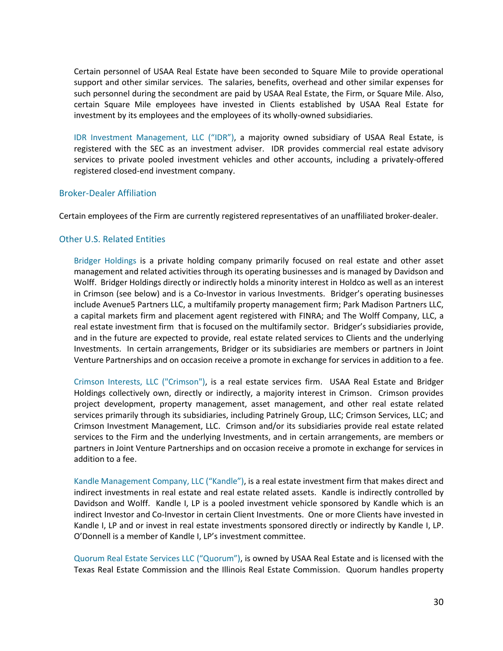Certain personnel of USAA Real Estate have been seconded to Square Mile to provide operational support and other similar services. The salaries, benefits, overhead and other similar expenses for such personnel during the secondment are paid by USAA Real Estate, the Firm, or Square Mile. Also, certain Square Mile employees have invested in Clients established by USAA Real Estate for investment by its employees and the employees of its wholly-owned subsidiaries.

IDR Investment Management, LLC ("IDR"), a majority owned subsidiary of USAA Real Estate, is registered with the SEC as an investment adviser. IDR provides commercial real estate advisory services to private pooled investment vehicles and other accounts, including a privately-offered registered closed-end investment company.

#### Broker-Dealer Affiliation

Certain employees of the Firm are currently registered representatives of an unaffiliated broker-dealer.

# Other U.S. Related Entities

Bridger Holdings is a private holding company primarily focused on real estate and other asset management and related activities through its operating businesses and is managed by Davidson and Wolff. Bridger Holdings directly or indirectly holds a minority interest in Holdco as well as an interest in Crimson (see below) and is a Co-Investor in various Investments. Bridger's operating businesses include Avenue5 Partners LLC, a multifamily property management firm; Park Madison Partners LLC, a capital markets firm and placement agent registered with FINRA; and The Wolff Company, LLC, a real estate investment firm that is focused on the multifamily sector. Bridger's subsidiaries provide, and in the future are expected to provide, real estate related services to Clients and the underlying Investments. In certain arrangements, Bridger or its subsidiaries are members or partners in Joint Venture Partnerships and on occasion receive a promote in exchange for services in addition to a fee.

Crimson Interests, LLC ("Crimson"), is a real estate services firm. USAA Real Estate and Bridger Holdings collectively own, directly or indirectly, a majority interest in Crimson. Crimson provides project development, property management, asset management, and other real estate related services primarily through its subsidiaries, including Patrinely Group, LLC; Crimson Services, LLC; and Crimson Investment Management, LLC. Crimson and/or its subsidiaries provide real estate related services to the Firm and the underlying Investments, and in certain arrangements, are members or partners in Joint Venture Partnerships and on occasion receive a promote in exchange for services in addition to a fee.

Kandle Management Company, LLC ("Kandle"), is a real estate investment firm that makes direct and indirect investments in real estate and real estate related assets. Kandle is indirectly controlled by Davidson and Wolff. Kandle I, LP is a pooled investment vehicle sponsored by Kandle which is an indirect Investor and Co-Investor in certain Client Investments. One or more Clients have invested in Kandle I, LP and or invest in real estate investments sponsored directly or indirectly by Kandle I, LP. O'Donnell is a member of Kandle I, LP's investment committee.

Quorum Real Estate Services LLC ("Quorum"), is owned by USAA Real Estate and is licensed with the Texas Real Estate Commission and the Illinois Real Estate Commission. Quorum handles property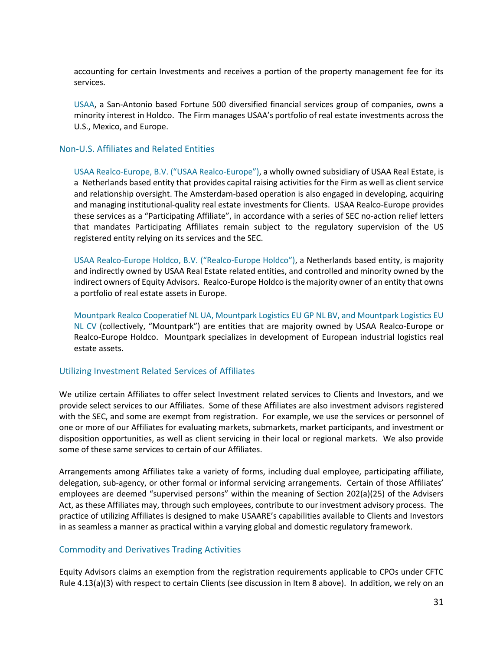accounting for certain Investments and receives a portion of the property management fee for its services.

USAA, a San-Antonio based Fortune 500 diversified financial services group of companies, owns a minority interest in Holdco. The Firm manages USAA's portfolio of real estate investments across the U.S., Mexico, and Europe.

## Non-U.S. Affiliates and Related Entities

USAA Realco-Europe, B.V. ("USAA Realco-Europe"), a wholly owned subsidiary of USAA Real Estate, is a Netherlands based entity that provides capital raising activities for the Firm as well as client service and relationship oversight. The Amsterdam-based operation is also engaged in developing, acquiring and managing institutional-quality real estate investments for Clients. USAA Realco-Europe provides these services as a "Participating Affiliate", in accordance with a series of SEC no-action relief letters that mandates Participating Affiliates remain subject to the regulatory supervision of the US registered entity relying on its services and the SEC.

USAA Realco-Europe Holdco, B.V. ("Realco-Europe Holdco"), a Netherlands based entity, is majority and indirectly owned by USAA Real Estate related entities, and controlled and minority owned by the indirect owners of Equity Advisors. Realco-Europe Holdco is the majority owner of an entity that owns a portfolio of real estate assets in Europe.

Mountpark Realco Cooperatief NL UA, Mountpark Logistics EU GP NL BV, and Mountpark Logistics EU NL CV (collectively, "Mountpark") are entities that are majority owned by USAA Realco-Europe or Realco-Europe Holdco. Mountpark specializes in development of European industrial logistics real estate assets.

## Utilizing Investment Related Services of Affiliates

We utilize certain Affiliates to offer select Investment related services to Clients and Investors, and we provide select services to our Affiliates. Some of these Affiliates are also investment advisors registered with the SEC, and some are exempt from registration. For example, we use the services or personnel of one or more of our Affiliates for evaluating markets, submarkets, market participants, and investment or disposition opportunities, as well as client servicing in their local or regional markets. We also provide some of these same services to certain of our Affiliates.

Arrangements among Affiliates take a variety of forms, including dual employee, participating affiliate, delegation, sub-agency, or other formal or informal servicing arrangements. Certain of those Affiliates' employees are deemed "supervised persons" within the meaning of Section 202(a)(25) of the Advisers Act, as these Affiliates may, through such employees, contribute to our investment advisory process. The practice of utilizing Affiliates is designed to make USAARE's capabilities available to Clients and Investors in as seamless a manner as practical within a varying global and domestic regulatory framework.

# Commodity and Derivatives Trading Activities

Equity Advisors claims an exemption from the registration requirements applicable to CPOs under CFTC Rule 4.13(a)(3) with respect to certain Clients (see discussion in Item 8 above). In addition, we rely on an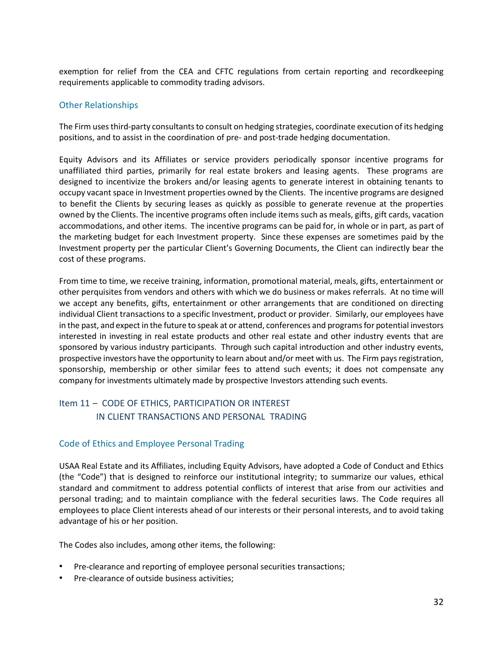exemption for relief from the CEA and CFTC regulations from certain reporting and recordkeeping requirements applicable to commodity trading advisors.

# Other Relationships

The Firm uses third-party consultants to consult on hedging strategies, coordinate execution of its hedging positions, and to assist in the coordination of pre- and post-trade hedging documentation.

Equity Advisors and its Affiliates or service providers periodically sponsor incentive programs for unaffiliated third parties, primarily for real estate brokers and leasing agents. These programs are designed to incentivize the brokers and/or leasing agents to generate interest in obtaining tenants to occupy vacant space in Investment properties owned by the Clients. The incentive programs are designed to benefit the Clients by securing leases as quickly as possible to generate revenue at the properties owned by the Clients. The incentive programs often include items such as meals, gifts, gift cards, vacation accommodations, and other items. The incentive programs can be paid for, in whole or in part, as part of the marketing budget for each Investment property. Since these expenses are sometimes paid by the Investment property per the particular Client's Governing Documents, the Client can indirectly bear the cost of these programs.

From time to time, we receive training, information, promotional material, meals, gifts, entertainment or other perquisites from vendors and others with which we do business or makes referrals. At no time will we accept any benefits, gifts, entertainment or other arrangements that are conditioned on directing individual Client transactions to a specific Investment, product or provider. Similarly, our employees have in the past, and expect in the future to speak at or attend, conferences and programs for potential investors interested in investing in real estate products and other real estate and other industry events that are sponsored by various industry participants. Through such capital introduction and other industry events, prospective investors have the opportunity to learn about and/or meet with us. The Firm pays registration, sponsorship, membership or other similar fees to attend such events; it does not compensate any company for investments ultimately made by prospective Investors attending such events.

# <span id="page-34-0"></span>Item 11 – CODE OF ETHICS, PARTICIPATION OR INTEREST IN CLIENT TRANSACTIONS AND PERSONAL TRADING

# Code of Ethics and Employee Personal Trading

USAA Real Estate and its Affiliates, including Equity Advisors, have adopted a Code of Conduct and Ethics (the "Code") that is designed to reinforce our institutional integrity; to summarize our values, ethical standard and commitment to address potential conflicts of interest that arise from our activities and personal trading; and to maintain compliance with the federal securities laws. The Code requires all employees to place Client interests ahead of our interests or their personal interests, and to avoid taking advantage of his or her position.

The Codes also includes, among other items, the following:

- Pre-clearance and reporting of employee personal securities transactions;
- Pre-clearance of outside business activities;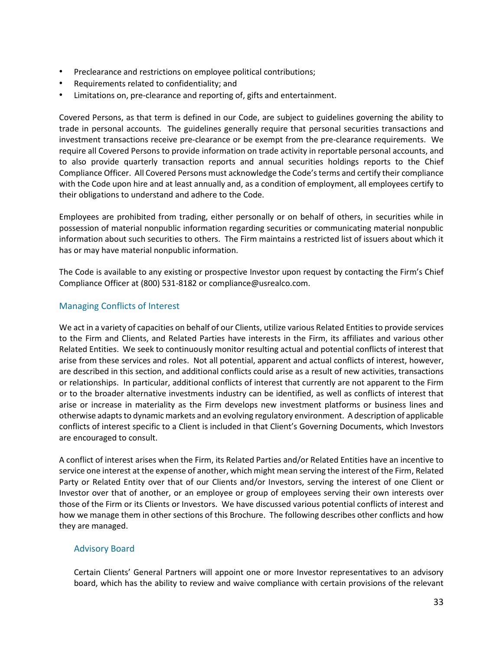- Preclearance and restrictions on employee political contributions;
- Requirements related to confidentiality; and
- Limitations on, pre-clearance and reporting of, gifts and entertainment.

Covered Persons, as that term is defined in our Code, are subject to guidelines governing the ability to trade in personal accounts. The guidelines generally require that personal securities transactions and investment transactions receive pre-clearance or be exempt from the pre-clearance requirements. We require all Covered Persons to provide information on trade activity in reportable personal accounts, and to also provide quarterly transaction reports and annual securities holdings reports to the Chief Compliance Officer. All Covered Persons must acknowledge the Code's terms and certify their compliance with the Code upon hire and at least annually and, as a condition of employment, all employees certify to their obligations to understand and adhere to the Code.

Employees are prohibited from trading, either personally or on behalf of others, in securities while in possession of material nonpublic information regarding securities or communicating material nonpublic information about such securities to others. The Firm maintains a restricted list of issuers about which it has or may have material nonpublic information.

The Code is available to any existing or prospective Investor upon request by contacting the Firm's Chief Compliance Officer at (800) 531-8182 or compliance@usrealco.com.

# Managing Conflicts of Interest

We act in a variety of capacities on behalf of our Clients, utilize various Related Entitiesto provide services to the Firm and Clients, and Related Parties have interests in the Firm, its affiliates and various other Related Entities. We seek to continuously monitor resulting actual and potential conflicts of interest that arise from these services and roles. Not all potential, apparent and actual conflicts of interest, however, are described in this section, and additional conflicts could arise as a result of new activities, transactions or relationships. In particular, additional conflicts of interest that currently are not apparent to the Firm or to the broader alternative investments industry can be identified, as well as conflicts of interest that arise or increase in materiality as the Firm develops new investment platforms or business lines and otherwise adapts to dynamic markets and an evolving regulatory environment. A description of applicable conflicts of interest specific to a Client is included in that Client's Governing Documents, which Investors are encouraged to consult.

A conflict of interest arises when the Firm, its Related Parties and/or Related Entities have an incentive to service one interest at the expense of another, which might mean serving the interest of the Firm, Related Party or Related Entity over that of our Clients and/or Investors, serving the interest of one Client or Investor over that of another, or an employee or group of employees serving their own interests over those of the Firm or its Clients or Investors. We have discussed various potential conflicts of interest and how we manage them in other sections of this Brochure. The following describes other conflicts and how they are managed.

# Advisory Board

Certain Clients' General Partners will appoint one or more Investor representatives to an advisory board, which has the ability to review and waive compliance with certain provisions of the relevant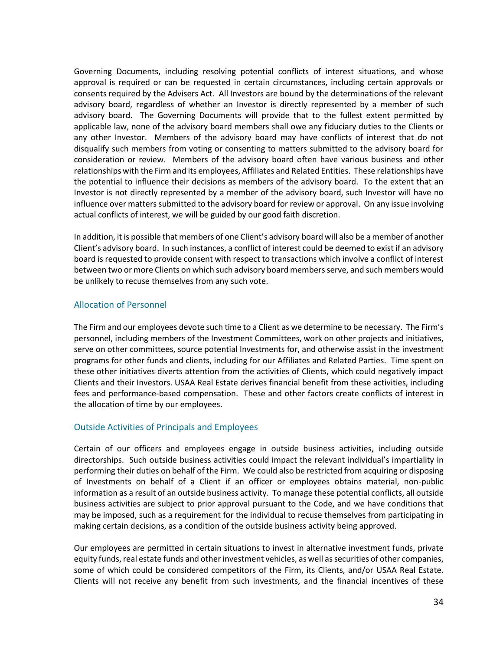Governing Documents, including resolving potential conflicts of interest situations, and whose approval is required or can be requested in certain circumstances, including certain approvals or consents required by the Advisers Act. All Investors are bound by the determinations of the relevant advisory board, regardless of whether an Investor is directly represented by a member of such advisory board. The Governing Documents will provide that to the fullest extent permitted by applicable law, none of the advisory board members shall owe any fiduciary duties to the Clients or any other Investor. Members of the advisory board may have conflicts of interest that do not disqualify such members from voting or consenting to matters submitted to the advisory board for consideration or review. Members of the advisory board often have various business and other relationships with the Firm and its employees, Affiliates and Related Entities. These relationships have the potential to influence their decisions as members of the advisory board. To the extent that an Investor is not directly represented by a member of the advisory board, such Investor will have no influence over matters submitted to the advisory board for review or approval. On any issue involving actual conflicts of interest, we will be guided by our good faith discretion.

In addition, it is possible that members of one Client's advisory board will also be a member of another Client's advisory board. In such instances, a conflict of interest could be deemed to exist if an advisory board is requested to provide consent with respect to transactions which involve a conflict of interest between two or more Clients on which such advisory board members serve, and such members would be unlikely to recuse themselves from any such vote.

# Allocation of Personnel

The Firm and our employees devote such time to a Client as we determine to be necessary. The Firm's personnel, including members of the Investment Committees, work on other projects and initiatives, serve on other committees, source potential Investments for, and otherwise assist in the investment programs for other funds and clients, including for our Affiliates and Related Parties. Time spent on these other initiatives diverts attention from the activities of Clients, which could negatively impact Clients and their Investors. USAA Real Estate derives financial benefit from these activities, including fees and performance-based compensation. These and other factors create conflicts of interest in the allocation of time by our employees.

## Outside Activities of Principals and Employees

Certain of our officers and employees engage in outside business activities, including outside directorships. Such outside business activities could impact the relevant individual's impartiality in performing their duties on behalf of the Firm. We could also be restricted from acquiring or disposing of Investments on behalf of a Client if an officer or employees obtains material, non-public information as a result of an outside business activity. To manage these potential conflicts, all outside business activities are subject to prior approval pursuant to the Code, and we have conditions that may be imposed, such as a requirement for the individual to recuse themselves from participating in making certain decisions, as a condition of the outside business activity being approved.

Our employees are permitted in certain situations to invest in alternative investment funds, private equity funds, real estate funds and other investment vehicles, as well as securities of other companies, some of which could be considered competitors of the Firm, its Clients, and/or USAA Real Estate. Clients will not receive any benefit from such investments, and the financial incentives of these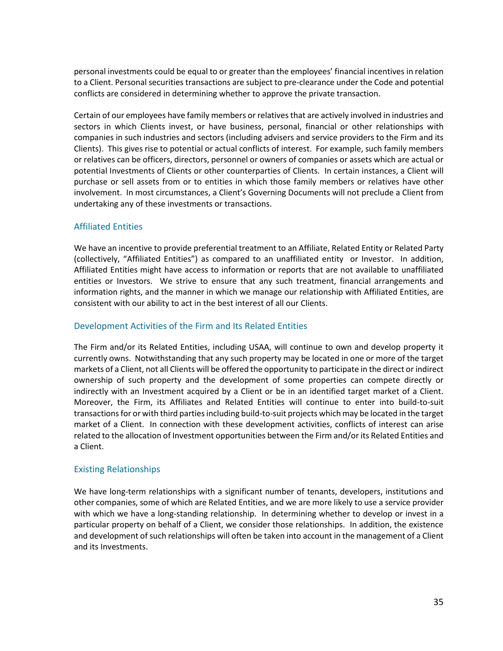personal investments could be equal to or greater than the employees' financial incentives in relation to a Client. Personal securities transactions are subject to pre-clearance under the Code and potential conflicts are considered in determining whether to approve the private transaction.

Certain of our employees have family members or relatives that are actively involved in industries and sectors in which Clients invest, or have business, personal, financial or other relationships with companies in such industries and sectors (including advisers and service providers to the Firm and its Clients). This gives rise to potential or actual conflicts of interest. For example, such family members or relatives can be officers, directors, personnel or owners of companies or assets which are actual or potential Investments of Clients or other counterparties of Clients. In certain instances, a Client will purchase or sell assets from or to entities in which those family members or relatives have other involvement. In most circumstances, a Client's Governing Documents will not preclude a Client from undertaking any of these investments or transactions.

# Affiliated Entities

We have an incentive to provide preferential treatment to an Affiliate, Related Entity or Related Party (collectively, "Affiliated Entities") as compared to an unaffiliated entity or Investor. In addition, Affiliated Entities might have access to information or reports that are not available to unaffiliated entities or Investors. We strive to ensure that any such treatment, financial arrangements and information rights, and the manner in which we manage our relationship with Affiliated Entities, are consistent with our ability to act in the best interest of all our Clients.

# Development Activities of the Firm and Its Related Entities

The Firm and/or its Related Entities, including USAA, will continue to own and develop property it currently owns. Notwithstanding that any such property may be located in one or more of the target markets of a Client, not all Clients will be offered the opportunity to participate in the direct or indirect ownership of such property and the development of some properties can compete directly or indirectly with an Investment acquired by a Client or be in an identified target market of a Client. Moreover, the Firm, its Affiliates and Related Entities will continue to enter into build-to-suit transactions for or with third parties including build-to-suit projects which may be located in the target market of a Client. In connection with these development activities, conflicts of interest can arise related to the allocation of Investment opportunities between the Firm and/or its Related Entities and a Client.

## Existing Relationships

We have long-term relationships with a significant number of tenants, developers, institutions and other companies, some of which are Related Entities, and we are more likely to use a service provider with which we have a long-standing relationship. In determining whether to develop or invest in a particular property on behalf of a Client, we consider those relationships. In addition, the existence and development of such relationships will often be taken into account in the management of a Client and its Investments.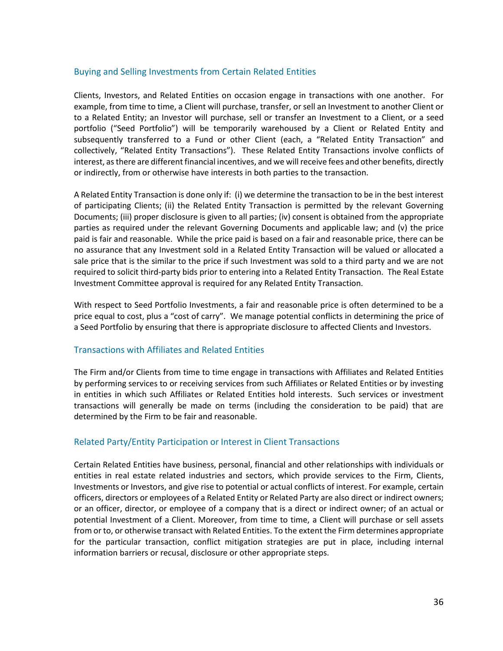# Buying and Selling Investments from Certain Related Entities

Clients, Investors, and Related Entities on occasion engage in transactions with one another. For example, from time to time, a Client will purchase, transfer, or sell an Investment to another Client or to a Related Entity; an Investor will purchase, sell or transfer an Investment to a Client, or a seed portfolio ("Seed Portfolio") will be temporarily warehoused by a Client or Related Entity and subsequently transferred to a Fund or other Client (each, a "Related Entity Transaction" and collectively, "Related Entity Transactions"). These Related Entity Transactions involve conflicts of interest, as there are different financial incentives, and we will receive fees and other benefits, directly or indirectly, from or otherwise have interests in both parties to the transaction.

A Related Entity Transaction is done only if: (i) we determine the transaction to be in the best interest of participating Clients; (ii) the Related Entity Transaction is permitted by the relevant Governing Documents; (iii) proper disclosure is given to all parties; (iv) consent is obtained from the appropriate parties as required under the relevant Governing Documents and applicable law; and (v) the price paid is fair and reasonable. While the price paid is based on a fair and reasonable price, there can be no assurance that any Investment sold in a Related Entity Transaction will be valued or allocated a sale price that is the similar to the price if such Investment was sold to a third party and we are not required to solicit third-party bids prior to entering into a Related Entity Transaction. The Real Estate Investment Committee approval is required for any Related Entity Transaction.

With respect to Seed Portfolio Investments, a fair and reasonable price is often determined to be a price equal to cost, plus a "cost of carry". We manage potential conflicts in determining the price of a Seed Portfolio by ensuring that there is appropriate disclosure to affected Clients and Investors.

# Transactions with Affiliates and Related Entities

The Firm and/or Clients from time to time engage in transactions with Affiliates and Related Entities by performing services to or receiving services from such Affiliates or Related Entities or by investing in entities in which such Affiliates or Related Entities hold interests. Such services or investment transactions will generally be made on terms (including the consideration to be paid) that are determined by the Firm to be fair and reasonable.

## Related Party/Entity Participation or Interest in Client Transactions

Certain Related Entities have business, personal, financial and other relationships with individuals or entities in real estate related industries and sectors, which provide services to the Firm, Clients, Investments or Investors, and give rise to potential or actual conflicts of interest. For example, certain officers, directors or employees of a Related Entity or Related Party are also direct or indirect owners; or an officer, director, or employee of a company that is a direct or indirect owner; of an actual or potential Investment of a Client. Moreover, from time to time, a Client will purchase or sell assets from or to, or otherwise transact with Related Entities. To the extent the Firm determines appropriate for the particular transaction, conflict mitigation strategies are put in place, including internal information barriers or recusal, disclosure or other appropriate steps.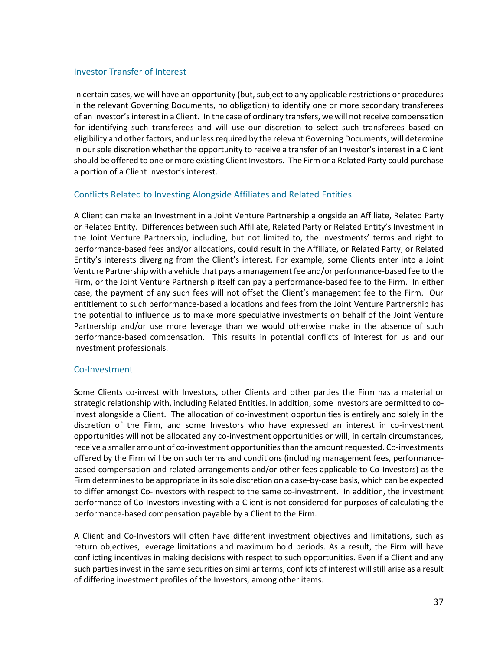## Investor Transfer of Interest

In certain cases, we will have an opportunity (but, subject to any applicable restrictions or procedures in the relevant Governing Documents, no obligation) to identify one or more secondary transferees of an Investor's interest in a Client. In the case of ordinary transfers, we will not receive compensation for identifying such transferees and will use our discretion to select such transferees based on eligibility and other factors, and unless required by the relevant Governing Documents, will determine in our sole discretion whether the opportunity to receive a transfer of an Investor's interest in a Client should be offered to one or more existing Client Investors. The Firm or a Related Party could purchase a portion of a Client Investor's interest.

## Conflicts Related to Investing Alongside Affiliates and Related Entities

A Client can make an Investment in a Joint Venture Partnership alongside an Affiliate, Related Party or Related Entity. Differences between such Affiliate, Related Party or Related Entity's Investment in the Joint Venture Partnership, including, but not limited to, the Investments' terms and right to performance-based fees and/or allocations, could result in the Affiliate, or Related Party, or Related Entity's interests diverging from the Client's interest. For example, some Clients enter into a Joint Venture Partnership with a vehicle that pays a management fee and/or performance-based fee to the Firm, or the Joint Venture Partnership itself can pay a performance-based fee to the Firm. In either case, the payment of any such fees will not offset the Client's management fee to the Firm. Our entitlement to such performance-based allocations and fees from the Joint Venture Partnership has the potential to influence us to make more speculative investments on behalf of the Joint Venture Partnership and/or use more leverage than we would otherwise make in the absence of such performance-based compensation. This results in potential conflicts of interest for us and our investment professionals.

#### Co-Investment

Some Clients co-invest with Investors, other Clients and other parties the Firm has a material or strategic relationship with, including Related Entities. In addition, some Investors are permitted to coinvest alongside a Client. The allocation of co-investment opportunities is entirely and solely in the discretion of the Firm, and some Investors who have expressed an interest in co-investment opportunities will not be allocated any co-investment opportunities or will, in certain circumstances, receive a smaller amount of co-investment opportunities than the amount requested. Co-investments offered by the Firm will be on such terms and conditions (including management fees, performancebased compensation and related arrangements and/or other fees applicable to Co-Investors) as the Firm determines to be appropriate in its sole discretion on a case-by-case basis, which can be expected to differ amongst Co-Investors with respect to the same co-investment. In addition, the investment performance of Co-Investors investing with a Client is not considered for purposes of calculating the performance-based compensation payable by a Client to the Firm.

A Client and Co-Investors will often have different investment objectives and limitations, such as return objectives, leverage limitations and maximum hold periods. As a result, the Firm will have conflicting incentives in making decisions with respect to such opportunities. Even if a Client and any such parties invest in the same securities on similar terms, conflicts of interest will still arise as a result of differing investment profiles of the Investors, among other items.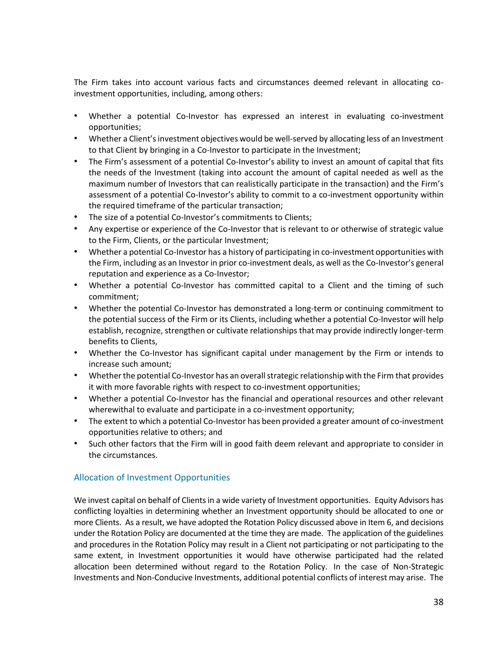The Firm takes into account various facts and circumstances deemed relevant in allocating coinvestment opportunities, including, among others:

- Whether a potential Co-Investor has expressed an interest in evaluating co-investment opportunities;
- Whether a Client's investment objectives would be well-served by allocating less of an Investment to that Client by bringing in a Co-Investor to participate in the Investment;
- The Firm's assessment of a potential Co-Investor's ability to invest an amount of capital that fits the needs of the Investment (taking into account the amount of capital needed as well as the maximum number of Investors that can realistically participate in the transaction) and the Firm's assessment of a potential Co-Investor's ability to commit to a co-investment opportunity within the required timeframe of the particular transaction;
- The size of a potential Co-Investor's commitments to Clients;
- Any expertise or experience of the Co-Investor that is relevant to or otherwise of strategic value to the Firm, Clients, or the particular Investment;
- Whether a potential Co-Investor has a history of participating in co-investment opportunities with the Firm, including as an Investor in prior co-investment deals, as well as the Co-Investor's general reputation and experience as a Co-Investor;
- Whether a potential Co-Investor has committed capital to a Client and the timing of such commitment;
- Whether the potential Co-Investor has demonstrated a long-term or continuing commitment to the potential success of the Firm or its Clients, including whether a potential Co-Investor will help establish, recognize, strengthen or cultivate relationships that may provide indirectly longer-term benefits to Clients,
- Whether the Co-Investor has significant capital under management by the Firm or intends to increase such amount;
- Whether the potential Co-Investor has an overall strategic relationship with the Firm that provides it with more favorable rights with respect to co-investment opportunities;
- Whether a potential Co-Investor has the financial and operational resources and other relevant wherewithal to evaluate and participate in a co-investment opportunity;
- The extent to which a potential Co-Investor has been provided a greater amount of co-investment opportunities relative to others; and
- Such other factors that the Firm will in good faith deem relevant and appropriate to consider in the circumstances.

# Allocation of Investment Opportunities

We invest capital on behalf of Clients in a wide variety of Investment opportunities. Equity Advisors has conflicting loyalties in determining whether an Investment opportunity should be allocated to one or more Clients. As a result, we have adopted the Rotation Policy discussed above in Item 6, and decisions under the Rotation Policy are documented at the time they are made. The application of the guidelines and procedures in the Rotation Policy may result in a Client not participating or not participating to the same extent, in Investment opportunities it would have otherwise participated had the related allocation been determined without regard to the Rotation Policy. In the case of Non-Strategic Investments and Non-Conducive Investments, additional potential conflicts of interest may arise. The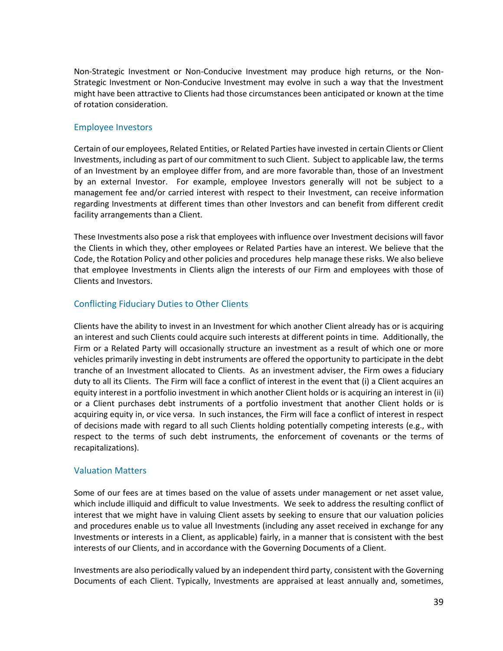Non-Strategic Investment or Non-Conducive Investment may produce high returns, or the Non-Strategic Investment or Non-Conducive Investment may evolve in such a way that the Investment might have been attractive to Clients had those circumstances been anticipated or known at the time of rotation consideration.

# Employee Investors

Certain of our employees, Related Entities, or Related Parties have invested in certain Clients or Client Investments, including as part of our commitment to such Client. Subject to applicable law, the terms of an Investment by an employee differ from, and are more favorable than, those of an Investment by an external Investor. For example, employee Investors generally will not be subject to a management fee and/or carried interest with respect to their Investment, can receive information regarding Investments at different times than other Investors and can benefit from different credit facility arrangements than a Client.

These Investments also pose a risk that employees with influence over Investment decisions will favor the Clients in which they, other employees or Related Parties have an interest. We believe that the Code, the Rotation Policy and other policies and procedures help manage these risks. We also believe that employee Investments in Clients align the interests of our Firm and employees with those of Clients and Investors.

# Conflicting Fiduciary Duties to Other Clients

Clients have the ability to invest in an Investment for which another Client already has or is acquiring an interest and such Clients could acquire such interests at different points in time. Additionally, the Firm or a Related Party will occasionally structure an investment as a result of which one or more vehicles primarily investing in debt instruments are offered the opportunity to participate in the debt tranche of an Investment allocated to Clients. As an investment adviser, the Firm owes a fiduciary duty to all its Clients. The Firm will face a conflict of interest in the event that (i) a Client acquires an equity interest in a portfolio investment in which another Client holds or is acquiring an interest in (ii) or a Client purchases debt instruments of a portfolio investment that another Client holds or is acquiring equity in, or vice versa. In such instances, the Firm will face a conflict of interest in respect of decisions made with regard to all such Clients holding potentially competing interests (e.g., with respect to the terms of such debt instruments, the enforcement of covenants or the terms of recapitalizations).

# Valuation Matters

Some of our fees are at times based on the value of assets under management or net asset value, which include illiquid and difficult to value Investments. We seek to address the resulting conflict of interest that we might have in valuing Client assets by seeking to ensure that our valuation policies and procedures enable us to value all Investments (including any asset received in exchange for any Investments or interests in a Client, as applicable) fairly, in a manner that is consistent with the best interests of our Clients, and in accordance with the Governing Documents of a Client.

Investments are also periodically valued by an independent third party, consistent with the Governing Documents of each Client. Typically, Investments are appraised at least annually and, sometimes,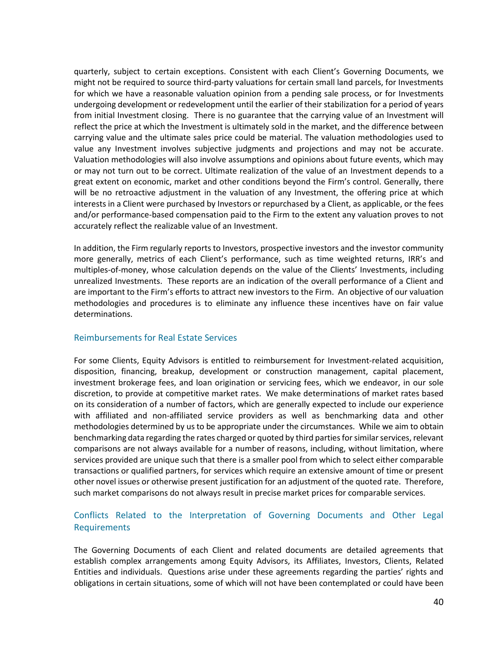quarterly, subject to certain exceptions. Consistent with each Client's Governing Documents, we might not be required to source third-party valuations for certain small land parcels, for Investments for which we have a reasonable valuation opinion from a pending sale process, or for Investments undergoing development or redevelopment until the earlier of their stabilization for a period of years from initial Investment closing. There is no guarantee that the carrying value of an Investment will reflect the price at which the Investment is ultimately sold in the market, and the difference between carrying value and the ultimate sales price could be material. The valuation methodologies used to value any Investment involves subjective judgments and projections and may not be accurate. Valuation methodologies will also involve assumptions and opinions about future events, which may or may not turn out to be correct. Ultimate realization of the value of an Investment depends to a great extent on economic, market and other conditions beyond the Firm's control. Generally, there will be no retroactive adjustment in the valuation of any Investment, the offering price at which interests in a Client were purchased by Investors or repurchased by a Client, as applicable, or the fees and/or performance-based compensation paid to the Firm to the extent any valuation proves to not accurately reflect the realizable value of an Investment.

In addition, the Firm regularly reports to Investors, prospective investors and the investor community more generally, metrics of each Client's performance, such as time weighted returns, IRR's and multiples-of-money, whose calculation depends on the value of the Clients' Investments, including unrealized Investments. These reports are an indication of the overall performance of a Client and are important to the Firm's efforts to attract new investors to the Firm. An objective of our valuation methodologies and procedures is to eliminate any influence these incentives have on fair value determinations.

## Reimbursements for Real Estate Services

For some Clients, Equity Advisors is entitled to reimbursement for Investment-related acquisition, disposition, financing, breakup, development or construction management, capital placement, investment brokerage fees, and loan origination or servicing fees, which we endeavor, in our sole discretion, to provide at competitive market rates. We make determinations of market rates based on its consideration of a number of factors, which are generally expected to include our experience with affiliated and non-affiliated service providers as well as benchmarking data and other methodologies determined by us to be appropriate under the circumstances. While we aim to obtain benchmarking data regarding the rates charged or quoted by third parties for similar services, relevant comparisons are not always available for a number of reasons, including, without limitation, where services provided are unique such that there is a smaller pool from which to select either comparable transactions or qualified partners, for services which require an extensive amount of time or present other novel issues or otherwise present justification for an adjustment of the quoted rate. Therefore, such market comparisons do not always result in precise market prices for comparable services.

# Conflicts Related to the Interpretation of Governing Documents and Other Legal Requirements

The Governing Documents of each Client and related documents are detailed agreements that establish complex arrangements among Equity Advisors, its Affiliates, Investors, Clients, Related Entities and individuals. Questions arise under these agreements regarding the parties' rights and obligations in certain situations, some of which will not have been contemplated or could have been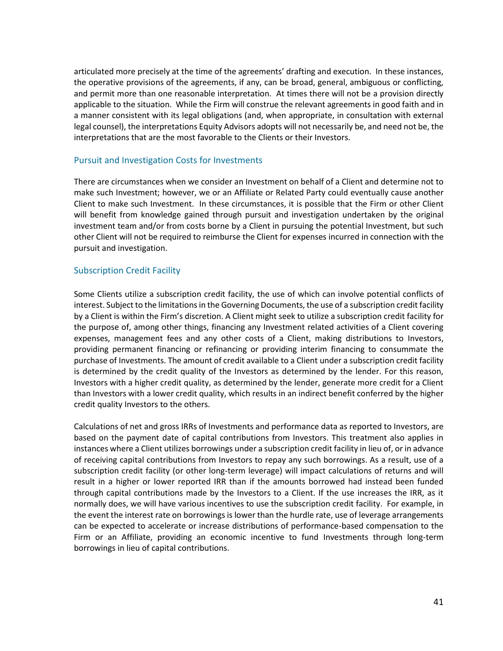articulated more precisely at the time of the agreements' drafting and execution. In these instances, the operative provisions of the agreements, if any, can be broad, general, ambiguous or conflicting, and permit more than one reasonable interpretation. At times there will not be a provision directly applicable to the situation. While the Firm will construe the relevant agreements in good faith and in a manner consistent with its legal obligations (and, when appropriate, in consultation with external legal counsel), the interpretations Equity Advisors adopts will not necessarily be, and need not be, the interpretations that are the most favorable to the Clients or their Investors.

## Pursuit and Investigation Costs for Investments

There are circumstances when we consider an Investment on behalf of a Client and determine not to make such Investment; however, we or an Affiliate or Related Party could eventually cause another Client to make such Investment. In these circumstances, it is possible that the Firm or other Client will benefit from knowledge gained through pursuit and investigation undertaken by the original investment team and/or from costs borne by a Client in pursuing the potential Investment, but such other Client will not be required to reimburse the Client for expenses incurred in connection with the pursuit and investigation.

# Subscription Credit Facility

Some Clients utilize a subscription credit facility, the use of which can involve potential conflicts of interest. Subject to the limitations in the Governing Documents, the use of a subscription credit facility by a Client is within the Firm's discretion. A Client might seek to utilize a subscription credit facility for the purpose of, among other things, financing any Investment related activities of a Client covering expenses, management fees and any other costs of a Client, making distributions to Investors, providing permanent financing or refinancing or providing interim financing to consummate the purchase of Investments. The amount of credit available to a Client under a subscription credit facility is determined by the credit quality of the Investors as determined by the lender. For this reason, Investors with a higher credit quality, as determined by the lender, generate more credit for a Client than Investors with a lower credit quality, which results in an indirect benefit conferred by the higher credit quality Investors to the others.

Calculations of net and gross IRRs of Investments and performance data as reported to Investors, are based on the payment date of capital contributions from Investors. This treatment also applies in instances where a Client utilizes borrowings under a subscription credit facility in lieu of, or in advance of receiving capital contributions from Investors to repay any such borrowings. As a result, use of a subscription credit facility (or other long-term leverage) will impact calculations of returns and will result in a higher or lower reported IRR than if the amounts borrowed had instead been funded through capital contributions made by the Investors to a Client. If the use increases the IRR, as it normally does, we will have various incentives to use the subscription credit facility. For example, in the event the interest rate on borrowings is lower than the hurdle rate, use of leverage arrangements can be expected to accelerate or increase distributions of performance-based compensation to the Firm or an Affiliate, providing an economic incentive to fund Investments through long-term borrowings in lieu of capital contributions.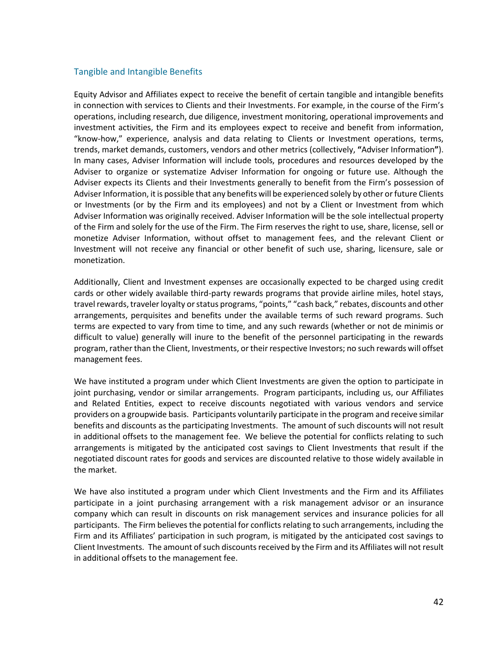# Tangible and Intangible Benefits

Equity Advisor and Affiliates expect to receive the benefit of certain tangible and intangible benefits in connection with services to Clients and their Investments. For example, in the course of the Firm's operations, including research, due diligence, investment monitoring, operational improvements and investment activities, the Firm and its employees expect to receive and benefit from information, "know-how," experience, analysis and data relating to Clients or Investment operations, terms, trends, market demands, customers, vendors and other metrics (collectively, **"**Adviser Information**"**). In many cases, Adviser Information will include tools, procedures and resources developed by the Adviser to organize or systematize Adviser Information for ongoing or future use. Although the Adviser expects its Clients and their Investments generally to benefit from the Firm's possession of Adviser Information, it is possible that any benefits will be experienced solely by other or future Clients or Investments (or by the Firm and its employees) and not by a Client or Investment from which Adviser Information was originally received. Adviser Information will be the sole intellectual property of the Firm and solely for the use of the Firm. The Firm reserves the right to use, share, license, sell or monetize Adviser Information, without offset to management fees, and the relevant Client or Investment will not receive any financial or other benefit of such use, sharing, licensure, sale or monetization.

Additionally, Client and Investment expenses are occasionally expected to be charged using credit cards or other widely available third-party rewards programs that provide airline miles, hotel stays, travel rewards, traveler loyalty or status programs, "points," "cash back," rebates, discounts and other arrangements, perquisites and benefits under the available terms of such reward programs. Such terms are expected to vary from time to time, and any such rewards (whether or not de minimis or difficult to value) generally will inure to the benefit of the personnel participating in the rewards program, rather than the Client, Investments, or their respective Investors; no such rewards will offset management fees.

We have instituted a program under which Client Investments are given the option to participate in joint purchasing, vendor or similar arrangements. Program participants, including us, our Affiliates and Related Entities, expect to receive discounts negotiated with various vendors and service providers on a groupwide basis. Participants voluntarily participate in the program and receive similar benefits and discounts as the participating Investments. The amount of such discounts will not result in additional offsets to the management fee. We believe the potential for conflicts relating to such arrangements is mitigated by the anticipated cost savings to Client Investments that result if the negotiated discount rates for goods and services are discounted relative to those widely available in the market.

We have also instituted a program under which Client Investments and the Firm and its Affiliates participate in a joint purchasing arrangement with a risk management advisor or an insurance company which can result in discounts on risk management services and insurance policies for all participants. The Firm believes the potential for conflicts relating to such arrangements, including the Firm and its Affiliates' participation in such program, is mitigated by the anticipated cost savings to Client Investments. The amount of such discounts received by the Firm and its Affiliates will not result in additional offsets to the management fee.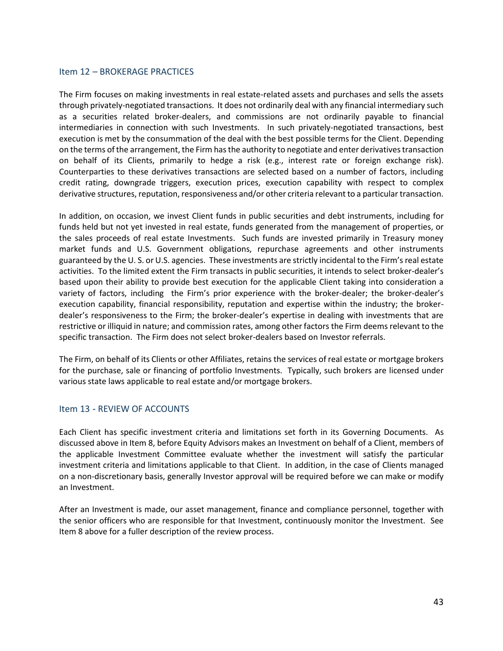# <span id="page-45-0"></span>Item 12 – BROKERAGE PRACTICES

The Firm focuses on making investments in real estate-related assets and purchases and sells the assets through privately-negotiated transactions. It does not ordinarily deal with any financial intermediary such as a securities related broker-dealers, and commissions are not ordinarily payable to financial intermediaries in connection with such Investments. In such privately-negotiated transactions, best execution is met by the consummation of the deal with the best possible terms for the Client. Depending on the terms of the arrangement, the Firm has the authority to negotiate and enter derivatives transaction on behalf of its Clients, primarily to hedge a risk (e.g., interest rate or foreign exchange risk). Counterparties to these derivatives transactions are selected based on a number of factors, including credit rating, downgrade triggers, execution prices, execution capability with respect to complex derivative structures, reputation, responsiveness and/or other criteria relevant to a particular transaction.

In addition, on occasion, we invest Client funds in public securities and debt instruments, including for funds held but not yet invested in real estate, funds generated from the management of properties, or the sales proceeds of real estate Investments. Such funds are invested primarily in Treasury money market funds and U.S. Government obligations, repurchase agreements and other instruments guaranteed by the U. S. or U.S. agencies. These investments are strictly incidental to the Firm's real estate activities. To the limited extent the Firm transacts in public securities, it intends to select broker-dealer's based upon their ability to provide best execution for the applicable Client taking into consideration a variety of factors, including the Firm's prior experience with the broker-dealer; the broker-dealer's execution capability, financial responsibility, reputation and expertise within the industry; the brokerdealer's responsiveness to the Firm; the broker-dealer's expertise in dealing with investments that are restrictive or illiquid in nature; and commission rates, among other factors the Firm deems relevant to the specific transaction. The Firm does not select broker-dealers based on Investor referrals.

The Firm, on behalf of its Clients or other Affiliates, retains the services of real estate or mortgage brokers for the purchase, sale or financing of portfolio Investments. Typically, such brokers are licensed under various state laws applicable to real estate and/or mortgage brokers.

## <span id="page-45-1"></span>Item 13 **-** REVIEW OF ACCOUNTS

Each Client has specific investment criteria and limitations set forth in its Governing Documents. As discussed above in Item 8, before Equity Advisors makes an Investment on behalf of a Client, members of the applicable Investment Committee evaluate whether the investment will satisfy the particular investment criteria and limitations applicable to that Client. In addition, in the case of Clients managed on a non-discretionary basis, generally Investor approval will be required before we can make or modify an Investment.

After an Investment is made, our asset management, finance and compliance personnel, together with the senior officers who are responsible for that Investment, continuously monitor the Investment. See Item 8 above for a fuller description of the review process.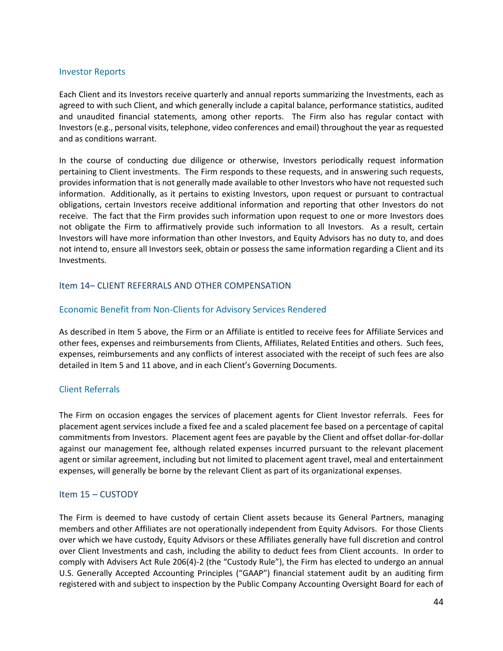#### Investor Reports

Each Client and its Investors receive quarterly and annual reports summarizing the Investments, each as agreed to with such Client, and which generally include a capital balance, performance statistics, audited and unaudited financial statements, among other reports. The Firm also has regular contact with Investors (e.g., personal visits, telephone, video conferences and email) throughout the year as requested and as conditions warrant.

In the course of conducting due diligence or otherwise, Investors periodically request information pertaining to Client investments. The Firm responds to these requests, and in answering such requests, provides information that is not generally made available to other Investors who have not requested such information. Additionally, as it pertains to existing Investors, upon request or pursuant to contractual obligations, certain Investors receive additional information and reporting that other Investors do not receive. The fact that the Firm provides such information upon request to one or more Investors does not obligate the Firm to affirmatively provide such information to all Investors. As a result, certain Investors will have more information than other Investors, and Equity Advisors has no duty to, and does not intend to, ensure all Investors seek, obtain or possess the same information regarding a Client and its Investments.

# <span id="page-46-0"></span>Item 14– CLIENT REFERRALS AND OTHER COMPENSATION

# Economic Benefit from Non-Clients for Advisory Services Rendered

As described in Item 5 above, the Firm or an Affiliate is entitled to receive fees for Affiliate Services and other fees, expenses and reimbursements from Clients, Affiliates, Related Entities and others. Such fees, expenses, reimbursements and any conflicts of interest associated with the receipt of such fees are also detailed in Item 5 and 11 above, and in each Client's Governing Documents.

## Client Referrals

The Firm on occasion engages the services of placement agents for Client Investor referrals. Fees for placement agent services include a fixed fee and a scaled placement fee based on a percentage of capital commitments from Investors. Placement agent fees are payable by the Client and offset dollar-for-dollar against our management fee, although related expenses incurred pursuant to the relevant placement agent or similar agreement, including but not limited to placement agent travel, meal and entertainment expenses, will generally be borne by the relevant Client as part of its organizational expenses.

## <span id="page-46-1"></span>Item 15 – CUSTODY

The Firm is deemed to have custody of certain Client assets because its General Partners, managing members and other Affiliates are not operationally independent from Equity Advisors. For those Clients over which we have custody, Equity Advisors or these Affiliates generally have full discretion and control over Client Investments and cash, including the ability to deduct fees from Client accounts. In order to comply with Advisers Act Rule 206(4)-2 (the "Custody Rule"), the Firm has elected to undergo an annual U.S. Generally Accepted Accounting Principles ("GAAP") financial statement audit by an auditing firm registered with and subject to inspection by the Public Company Accounting Oversight Board for each of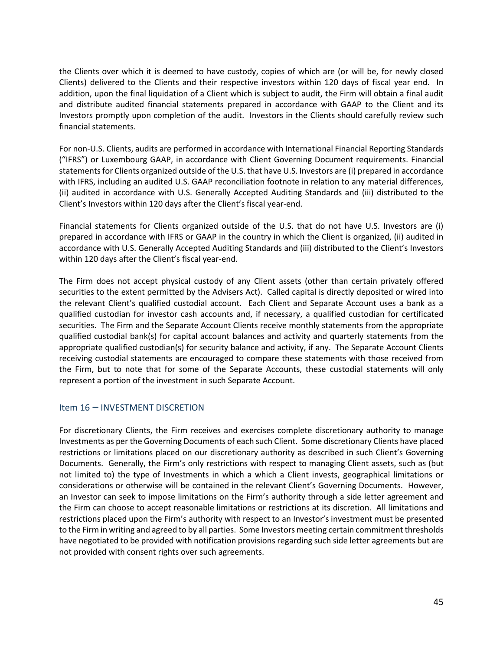the Clients over which it is deemed to have custody, copies of which are (or will be, for newly closed Clients) delivered to the Clients and their respective investors within 120 days of fiscal year end. In addition, upon the final liquidation of a Client which is subject to audit, the Firm will obtain a final audit and distribute audited financial statements prepared in accordance with GAAP to the Client and its Investors promptly upon completion of the audit. Investors in the Clients should carefully review such financial statements.

For non-U.S. Clients, audits are performed in accordance with International Financial Reporting Standards ("IFRS") or Luxembourg GAAP, in accordance with Client Governing Document requirements. Financial statements for Clients organized outside of the U.S. that have U.S. Investors are (i) prepared in accordance with IFRS, including an audited U.S. GAAP reconciliation footnote in relation to any material differences, (ii) audited in accordance with U.S. Generally Accepted Auditing Standards and (iii) distributed to the Client's Investors within 120 days after the Client's fiscal year-end.

Financial statements for Clients organized outside of the U.S. that do not have U.S. Investors are (i) prepared in accordance with IFRS or GAAP in the country in which the Client is organized, (ii) audited in accordance with U.S. Generally Accepted Auditing Standards and (iii) distributed to the Client's Investors within 120 days after the Client's fiscal year-end.

The Firm does not accept physical custody of any Client assets (other than certain privately offered securities to the extent permitted by the Advisers Act). Called capital is directly deposited or wired into the relevant Client's qualified custodial account. Each Client and Separate Account uses a bank as a qualified custodian for investor cash accounts and, if necessary, a qualified custodian for certificated securities. The Firm and the Separate Account Clients receive monthly statements from the appropriate qualified custodial bank(s) for capital account balances and activity and quarterly statements from the appropriate qualified custodian(s) for security balance and activity, if any. The Separate Account Clients receiving custodial statements are encouraged to compare these statements with those received from the Firm, but to note that for some of the Separate Accounts, these custodial statements will only represent a portion of the investment in such Separate Account.

# <span id="page-47-0"></span>Item 16 – INVESTMENT DISCRETION

For discretionary Clients, the Firm receives and exercises complete discretionary authority to manage Investments as per the Governing Documents of each such Client. Some discretionary Clients have placed restrictions or limitations placed on our discretionary authority as described in such Client's Governing Documents. Generally, the Firm's only restrictions with respect to managing Client assets, such as (but not limited to) the type of Investments in which a which a Client invests, geographical limitations or considerations or otherwise will be contained in the relevant Client's Governing Documents. However, an Investor can seek to impose limitations on the Firm's authority through a side letter agreement and the Firm can choose to accept reasonable limitations or restrictions at its discretion. All limitations and restrictions placed upon the Firm's authority with respect to an Investor's investment must be presented to the Firm in writing and agreed to by all parties. Some Investors meeting certain commitment thresholds have negotiated to be provided with notification provisions regarding such side letter agreements but are not provided with consent rights over such agreements.